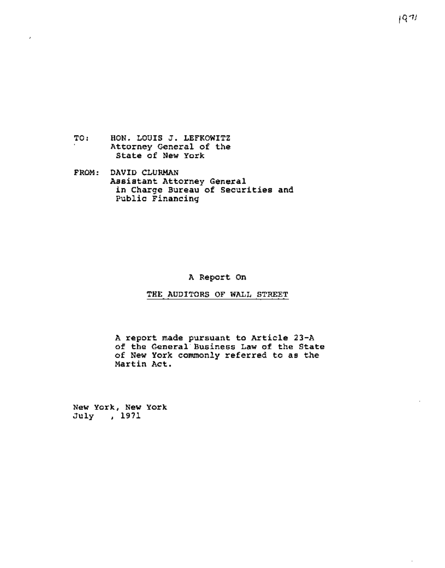- TO : HON. LOUIS J. LEFKOWITZ Attorney General of the State of New York
- **F ROM :**  DAVID CLURMAN Assistant Attorney General in Charge Bureau of Securities and public Financing

A Report On

THE AUDITORS OF WALL STREET

A report made pursuant to Article 23-A of the General Business Law of the State of New York commonly referred to as the Martin Act.

New York, New York July , 1971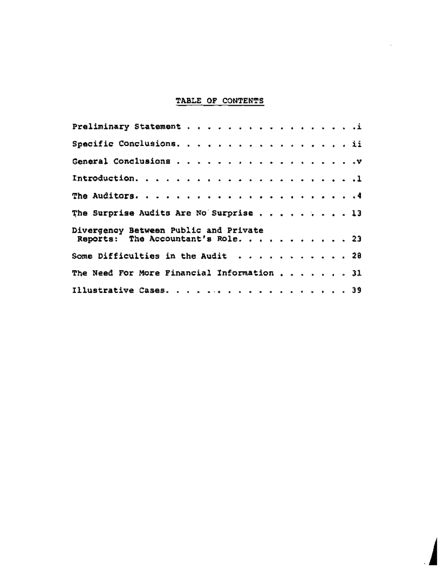## TABLE OF CONTENTS

| Preliminary Statement i                    |  |  |  |  |  |  |  |  |  |  |  |
|--------------------------------------------|--|--|--|--|--|--|--|--|--|--|--|
| Specific Conclusions. ii                   |  |  |  |  |  |  |  |  |  |  |  |
|                                            |  |  |  |  |  |  |  |  |  |  |  |
|                                            |  |  |  |  |  |  |  |  |  |  |  |
|                                            |  |  |  |  |  |  |  |  |  |  |  |
| The Surprise Audits Are No Surprise 13     |  |  |  |  |  |  |  |  |  |  |  |
| Divergency Between Public and Private      |  |  |  |  |  |  |  |  |  |  |  |
| Reports: The Accountant's Role. 23         |  |  |  |  |  |  |  |  |  |  |  |
| Some Difficulties in the Audit $\ldots$ 28 |  |  |  |  |  |  |  |  |  |  |  |
| The Need For More Financial Information 31 |  |  |  |  |  |  |  |  |  |  |  |
| Illustrative Cases. 39                     |  |  |  |  |  |  |  |  |  |  |  |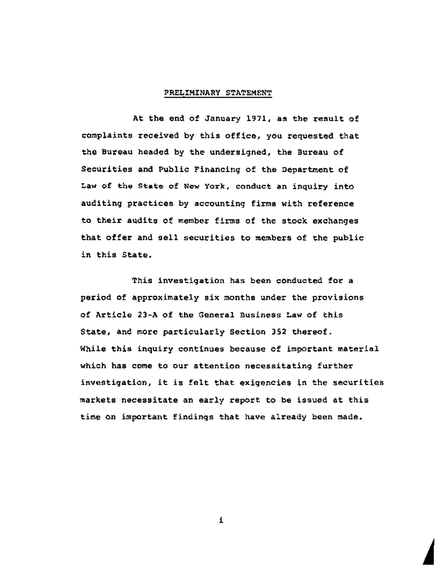## PRELIMINARY STATEMENT

At the end of January 1971, as the result of complaints received by this office, you requested that the Bureau headed by the undersigned, the Bureau of Securities and Public Financing of the Department of Law of the State of New York, conduct an inquiry into auditing practices by accounting firms with reference to their audits of member firms of the stock exchanges that offer and sell securities to members of the public in this State.

This investigation has been conducted for a period of approximately six months under the provisions of Article 23-A of the General Business Law of this State, and more particularly Section 352 thereof. While this inquiry continues because of important material which has come to our attention necessitating further investigation, it is felt that exigencies in the securities markets necessitate an early report to be issued at this time on important findings that have already been made.

i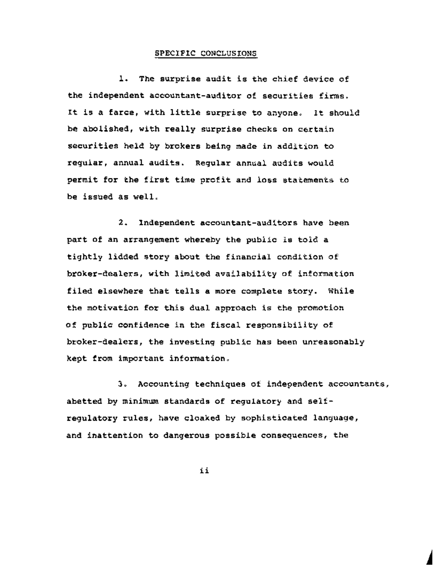### SPECIFIC CONCLUSIONS

1. The surprise audit is the chief device of the independent accountant-auditor of securities firms. It is a farce, with little surprise to anyone. It should be abolished, with really surprise checks on certain securities held by brokers being made in addition to regular, annual audits. Regular annual audits would permit for the first time profit and loss statements to be issued as well.

2. Independent accountant-auditors have been part of an arrangement whereby the public is told a tightly lidded story about the financial condition of broker-dealers, with limited availability of information filed elsewhere that tells a more complete story. While the motivation for this dual approach is the promotion of public confidence in the fiscal responsibility of broker-dealers, the investing public has been unreasonably kept from important information.

3. Accounting techniques of independent accountants, abetted by minimum standards of regulatory and selfregulatory rules, have cloaked by sophisticated language, and inattention to dangerous possible consequences, the

**A** 

ii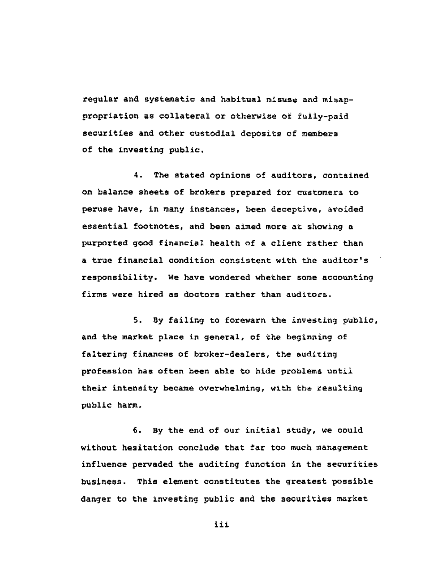regular and systematic and habitual misuse and misappropriation as collateral or otherwise of fully-paid securities and other custodial deposits of members of the investing public.

4. The stated opinions of auditors, contained on balance sheets of brokers prepared for customers to peruse have, in many instances, been deceptive, avoided essential footnotes, and been aimed more at showing a purported good financial health of a client rather than a true financial condition consistent with the auditor's responsibility. We have wondered whether some accounting firms were hired as doctors rather than auditors.

5. By failing to forewarn the investing public, and the market place in general, of the beginning of faltering finances of broker-dealers, the auditing profession has often been able to hide problems until their intensity became overwhelming, with the resulting public harm.

6. By the end of our initial study, we could without hesitation conclude that far too much management influence pervaded the auditing function in the securities business. This element constitutes the greatest possible danger to the investing public and *the* securities market

iii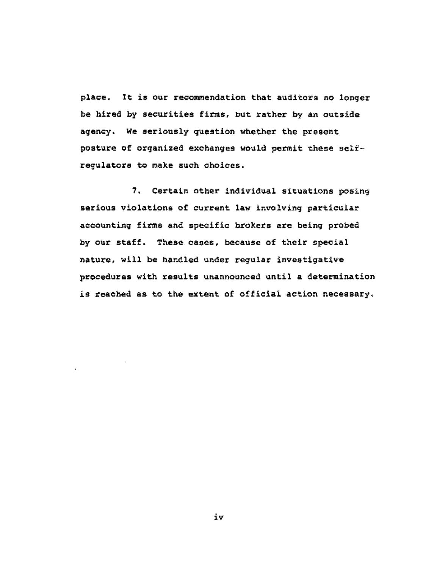place. It is our recommendation that auditors no longer be hired by securities firms, but rather by an outside agency. We seriously question whether the present posture of organized exchanges would permit these selfregulators to make such choices.

7. Certain other individual situations posing serious violations of current law involving particular accounting firms and specific brokers are being probed by our staff. These cases, because of their special nature, will be handled under regular investigative procedures with results unannounced until a determination is reached as to the extent of official action necessary.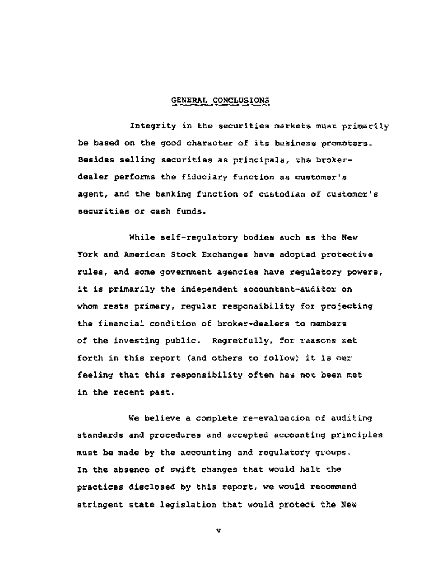#### GENERAL CONCLUSIONS

Integrity in the securities markets must primarily be based on the good character of its business promoters. Besides selling securities as principals, the brokerdealer performs the fiduciary function as customer's agent, and the banking function of custodian of customer's securities or cash funds.

While self-regulatory bodies such as the New York and American Stock Exchanges have adopted protective rules, and some government agencies have regulatory powers, it is primarily the independent accountant-auditor on whom rests primary, regular responsibility for projecting the financial condition of broker-dealers to members of the investing public. Regretfully, for reasons set forth in this report (and others to follow) it is our feeling that this responsibility often has not been met in the recent past.

We believe a complete re-evaluation of auditing standards and procedures and accepted accounting principles must be made by the accounting and regulatory groups. In the absence of swift changes that would halt the practices disclosed by this report, we would recommend stringent state legislation that would protect the New

V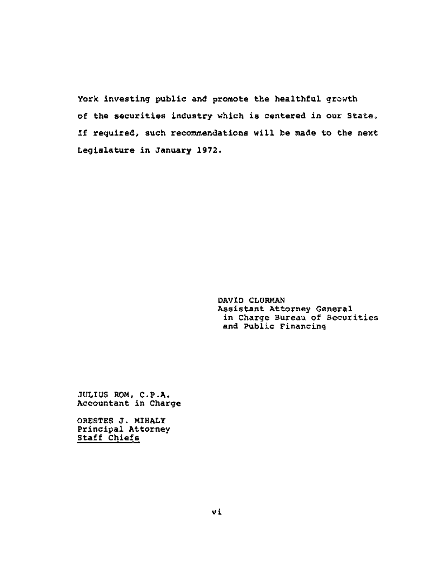York investing public and promote the healthful growth of the securities industry which is centered in our State. If required, such recommendations will be made to the next Legislature in January **1972.** 

> DAVID CLURMAN Assistant Attorney General in Charge Bureau of Securities and Public Financing

JULIUS ROM, C.P.A. Accountant in Charge

**ORESTES Jo** MIHALY Principal Attorney Staff Chiefs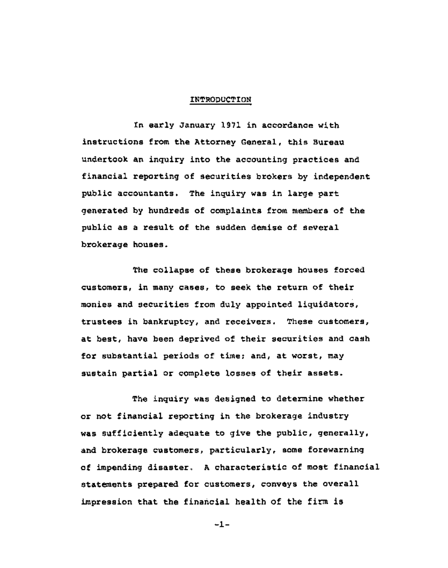## INTRODUCTION

In early January 1971 in accordance with instructions from the Attorney General, this Bureau undertook an inquiry into the accounting practices and financial reporting of securities brokers by independent public accountants. The inquiry was in large part generated by hundreds of complaints from members of the public as a result of the sudden demise of several brokerage houses.

The collapse of these brokerage houses forced customers, in many cases, to seek the return of their monies and securities from duly appointed liquidators, trustees in bankruptcy, and receivers. These customers, at best, have been deprived of their securities and cash for substantial periods of time; and, at worst, may sustain partial or complete losses of their assets.

The inquiry was designed to determine whether or not financial reporting in the brokerage industry was sufficiently adequate to give the public, generally, and brokerage customers, particularly, some forewarning of impending disaster° A characteristic of most financial statements prepared for customers, conveys the overall impression that the financial health of the firm is

 $-1-$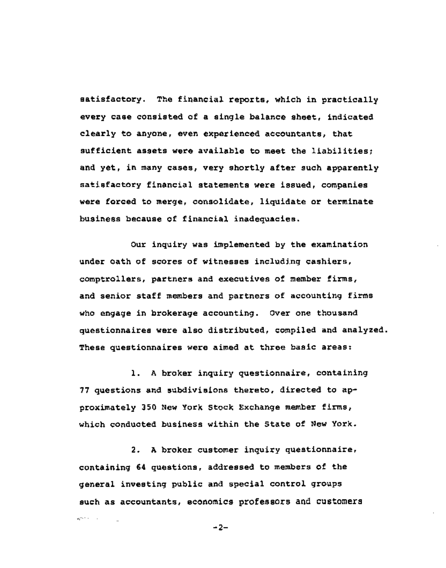satisfactory. The financial reports, which in practically every case consisted of a single balance sheet, indicated clearly to anyone, even experienced accountants, that sufficient assets were available to meet the liabilities; and yet, in many cases, very shortly after such apparently satisfactory financial statements were issued, companies were forced to merge, consolidate, liquidate or terminate business because of financial inadequacies.

Our inquiry was implemented by the examination under oath of scores of witnesses including cashiers, comptrollers, partners and executives of member firms, and senior staff members and partners of accounting firms who engage in brokerage accounting. Over one thousand questionnaires were also distributed, compiled and analyzed. These questionnaires were aimed at three basic areas:

i. A broker inquiry questionnaire, containing 77 questions and subdivisions thereto, directed to approximately 350 New York Stock Exchange member firms, which conducted business within the State of New York.

2. A broker customer inquiry questionnaire, containing 64 questions, addressed to members of the general investing public and special control groups such as accountants, economics professors and customers

 $-2-$ 

**American**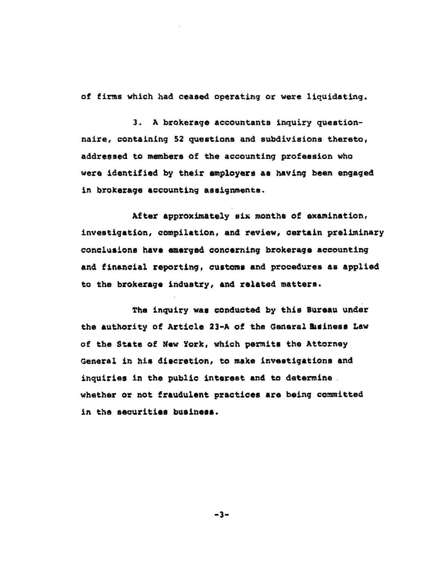of firms which had ceased operating or were liquidating.

3. A brokerage accountants inquiry questionnaire, containing 52 questions and subdivisions thereto, addressed to members of the accounting profession who were identified by their employers as having been engaged in brokerage accounting assignments.

After approximately six months of examination, investigation, compilation, and review, certain preliminary conclusions have emerged concerning brokerage accounting and financial reporting, customs and procedures as applied to the brokerage industry, and related matters.

The inquiry was conducted by this Bureau under the authority of Article 23-A of the General Business Law of the State of New York, which permits the Attorney General in his discretion, to make investigations and inquiries in the public interest and to determine. whether or not fraudulent practices are being committed in the securities business.

**-3-**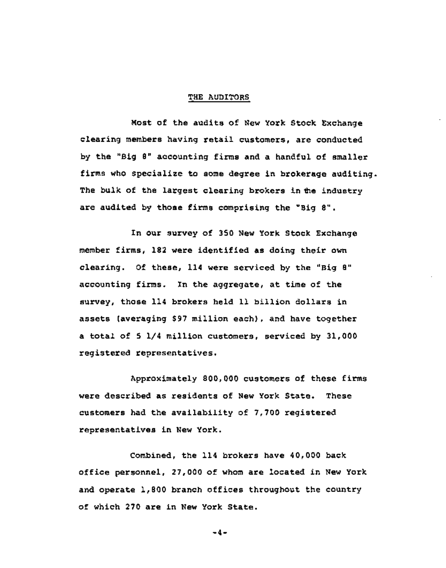### THE AUDITORS

Most of the audits of New York Stock Exchange clearing members having retail customers, are conducted by the "Big 8" accounting firms and a handful of smaller firms who specialize to some degree in brokerage auditing. The bulk of the largest clearing brokers in the industry are audited by those firms comprising the "Big 8".

In our survey of 350 New York Stock Exchange member firms, 182 were identified as doing their own clearing. Of these, 114 were serviced by the "Big 8" accounting firms. In the aggregate, at time of the survey, those 114 brokers held 11 billion dollars in assets (averaging \$97 million each), and have together a total of 5 1/4 million customers, serviced by 31,000 registered representatives.

Approximately 800,000 customers of these firms were described as residents of New York State. These customers had the availability of 7,700 registered representatives in New York.

Combined, the 114 brokers have 40,000 back office personnel, 27,000 of whom are located in New York and operate 1,800 branch offices throughout the country of which 270 are in New York State.

**-4-**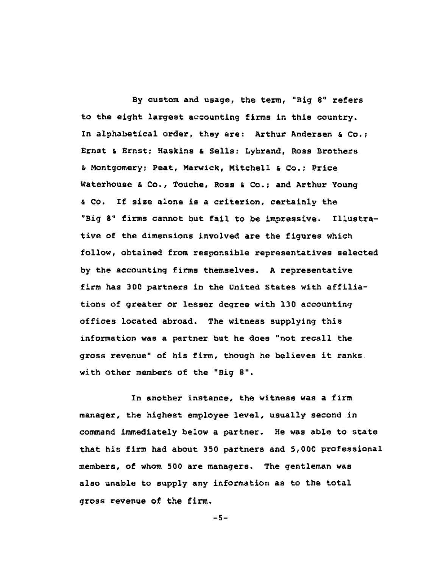By custom and usage, the term, "Big 8" refers to the eight largest accounting firms in this country. In alphabetical order, they are: Arthur Andersen & Co.; Ernst & Ernst; Haskins & Sells; Lybrand, Ross Brothers & Montgomery; Peat, Marwick, Mitchell & Co.; Price Waterhouse & Co., Touche, Ross & Co.; and Arthur Young & Co. If size alone is a criterion, certainly the "Big 8" firms cannot but fail to be impressive. Illustrative of the dimensions involved are the figures which follow, obtained from responsible representatives selected by the accounting firms themselves. A representative firm has 300 partners in the United States with affiliations of greater or lesser degree with 130 accounting offices located abroad. The witness supplying this information was a partner but he does "not recall the gross revenue" of his firm, though he believes it ranks with other members of the "Big 8".

In another instance, the witness was a firm manager, the highest employee level, usually second in command immediately below a partner. He was able to state that his firm had about 350 partners and 5,000 professional members, of whom 500 are managers. The gentleman was also unable to supply any information as to the total gross revenue of the firm.

 $-5-$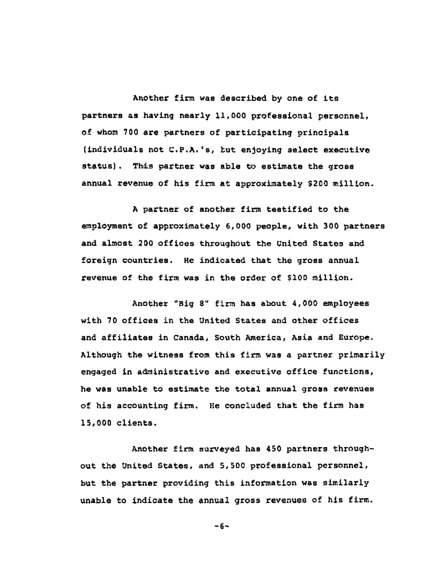Another firm was described by one of its partners as having nearly ii,000 professional personnel, of whom 700 are partners of participating principals (individuals not C.P.A.'s, but enjoying select executive status). This partner was able to estimate the gross annual revenue of his firm at approximately \$200 million.

A partner of another firm testified to the employment of approximately 6,000 people, with 300 partners and almost 200 offices throughout the United States and foreign countries. He indicated that the gross annual revenue of the firm was in the order of \$100 million.

Another "Big 8" firm has about 4,000 employees with 70 offices in the United States and other offices and affiliates in Canada, South America, Asia and Europe. Although the witness from this firm was a partner primarily engaged in administrative and executive office functions, he was unable to estimate the total annual gross revenues of his accounting firm. He concluded that the firm has 15,000 clients.

Another firm surveyed has 450 partners throughout the United States, and 5,500 professional personnel, but the partner providing this information was similarly unable to indicate the annual gross revenues of his firm.

**-6-**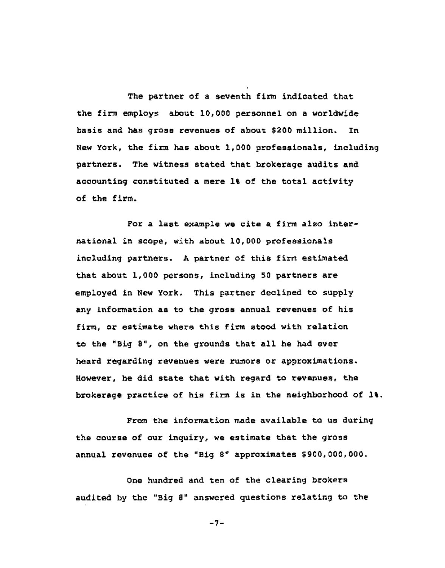The partner of a seventh firm indicated that the firm employs about 10,000 personnel on a worldwide basis and has gross revenues of about \$200 million. In New York, the firm has about 1,000 professionals, including partners. The witness stated that brokerage audits and accounting constituted a mere 1% of the total activity of the firm.

l

For a last example we cite a firm also international in scope, with about i0,000 professionals including partners. A partner of this firm estimated that about 1,000 persons, including 50 partners are employed in New York. This partner declined to supply any information as to the gross annual revenues of his firm, or estimate where this firm stood with relation to the "Big 8", on the grounds that all he had ever heard regarding revenues were rumors or approximations. However, he did state that with regard to revenues, the brokerage practice of his firm is in the neighborhood of 1%.

From the information made available to us during the course of our inquiry, we estimate that the gross annual revenues of the "Big 8" approximates \$900,000,000.

One hundred and ten of the clearing brokers audited by the "Big 8" answered questions relating to the

-7-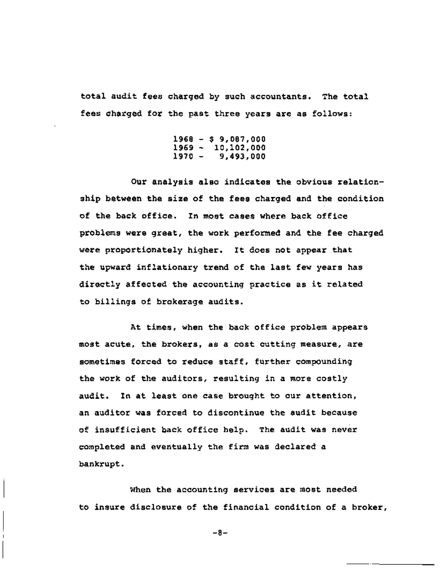total audit fees charged by such accountants. The total fees charged for the past three years are as follows:

> 1968 - \$ 9,087,000 1969 - 10,102,000 9,493,000

Our analysis also indicates the obvious relationship between the size of the fees charged and the condition of the back office. In most cases where back office problems were great, the work performed and the fee charged were proportionately higher. It does not appear that the upward inflationary trend of the last few years has directly affected the accounting practice as it related to billings of brokerage audits.

At times, when the back office problem appears most acute, the brokers, as a cost cutting measure, are sometimes forced to reduce staff, further compounding the work of the auditors, resulting in a more costly audit. In at least one case brought to our attention, an auditor was forced to discontinue the audit because of insufficient back office help. The audit was never completed and eventually the firm was declared a bankrupt.

When the accounting services are most needed to insure disclosure of the financial condition of a broker,

**-8-**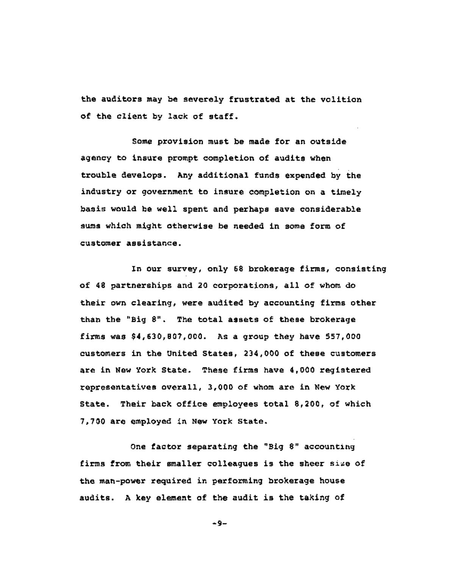the auditors may be severely frustrated at the volition of the client by lack of staff.

Some provision must be made for an outside agency to insure prompt completion of audits when trouble develops. Any additional funds expended by the industry or government to insure completion on a timely basis would be well spent and perhaps save considerable sums which might otherwise be needed in some form of customer assistance.

In our survey, only 68 brokerage firms, consisting of 48 partnerships and 20 corporations, all of whom do their own clearing, were audited by accounting firms other than the "Big 8". The total assets of these brokerage firms was \$4,630,807,000. As a group they have 557,000 customers in the United States, 234,000 of these customers are in New York State. These firms have 4,000 registered representatives overall, 3,000 of whom are in New York State. Their back office employees total 8,200, of which 7,700 are employed in New York State.

One factor separating the "Big 8" accounting firms from their smaller colleagues is the sheer size of the man-power required in performing brokerage house audits. A key element of the audit is the taking of

**-9-**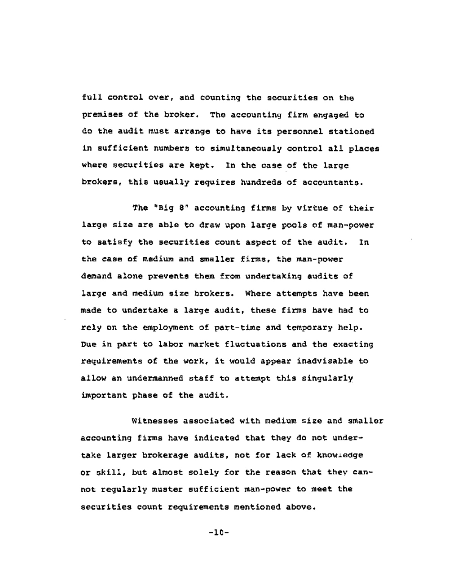full control over, and counting the securities on the premises of the broker. The accounting firm engaged to do the audit must arrange to have its personnel stationed in sufficient numbers to simultaneously control all places where securities are kept. In the case of the large brokers, this usually requires hundreds of accountants.

The "Big 8" accounting firms by virtue of their large size are able to draw upon large pools of man-power to satisfy the securities count aspect of the audit. In the case of medium and smaller firms, the man-power demand alone prevents them from undertaking audits of large and medium size brokers. Where attempts have been made to undertake a large audit, these firms have had to rely on the employment of part-time and temporary help. Due in part to labor market fluctuations and the exacting requirements of the work, it would appear inadvisable to allow an undermanned staff to attempt this singularly important phase of the audit.

Witnesses associated with medium size and smaller accounting firms have indicated that they do not undertake larger brokerage audits, not for lack of knowledge or skill, but almost solely for the reason that they cannot regularly muster sufficient man-power to meet the securities count requirements mentioned above.

-10-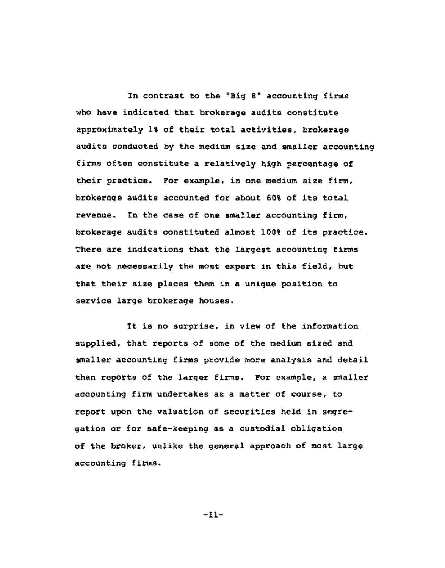In contrast to the "Big 8" accounting firms who have indicated that brokerage audits constitute approximately 1% of their total activities, brokerage audits conducted by the medium size and smaller accounting firms often constitute a relatively high percentage of their practice. For example, in one medium size firm, brokerage audits accounted for about 60% of its total revenue. In the case of one smaller accounting firm, brokerage audits constituted almost 100% of its practice. There are indications that the largest accounting firms are not necessarily the most expert in this field, but that their size places them in a unique position to service large brokerage houses.

It is no surprise, in view of the information supplied, that reports of some of the medium sized and smaller accounting firms provide more analysis and detail than reports of the larger firms. For example, a smaller accounting firm undertakes as a matter of course, to report upon the valuation of securities held in segregation or for safe-keeping as a custodial obligation of the broker, unlike the general approach of most large accounting firms.

-11-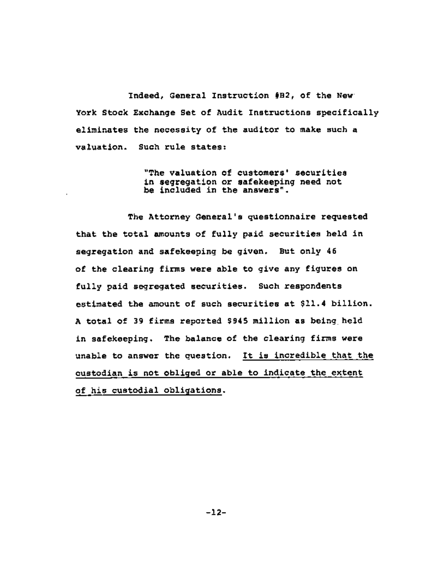Indeed, General Instruction #B2, of the New York Stock Exchange Set of Audit Instructions specifically eliminates the necessity of the auditor to make such a valuation. Such rule states:

> "The valuation of customers' securities in segregation or safekeeping need not be included in the answers".

The Attorney General's questionnaire requested that the total amounts of fully paid securities held in segregation and safekeeping be given. But only 46 of the clearing firms were able to give any figures on fully paid segregated securities. Such respondents estimated the amount of such securities at \$11.4 billion. A total of 39 firms reported \$945 million as being held in safekeeping. The balance of the clearing firms were unable to answer the question. It is incredible that the custodian is not obliged or able to indicate the extent of his custodial obligations.

-12-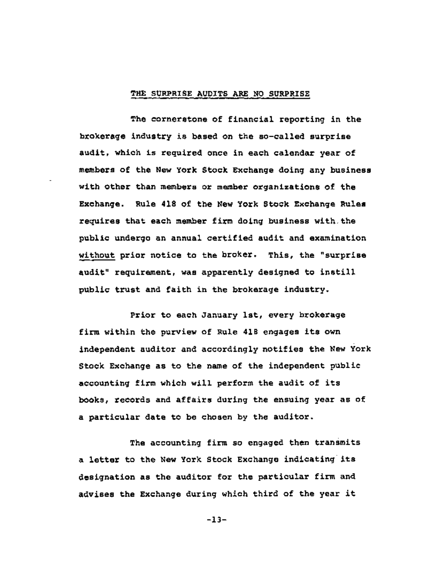## **THE SURPRISE AUDITS ARE NO SURPRISE**

The cornerstone of financial reporting in the brokerage industry is based on the so-called surprise audit, which is required once in each calendar year of members of the New York Stock Exchange doing any business with other than members or member organizations of the Exchange. Rule 418 of the New York Stock Exchange Rules requires that each member firm doing business with the public undergo an annual certified audit and examination without prior notice to the broker. This, the "surprise audit" requirement, was apparently designed to instill public trust and faith in the brokerage industry.

Prior to each January Ist, every brokerage firm within the purview of Rule 418 engages its own independent auditor and accordingly notifies the New York Stock Exchange as to the name of the independent public accounting firm which will perform the audit of its books, records and affairs during the ensuing year as of a particular date to be chosen by the auditor.

The accounting firm so engaged then transmits a letter to the New York Stock Exchange indicating its designation as the auditor for the particular firm and advises the Exchange during which third of the year it

-13-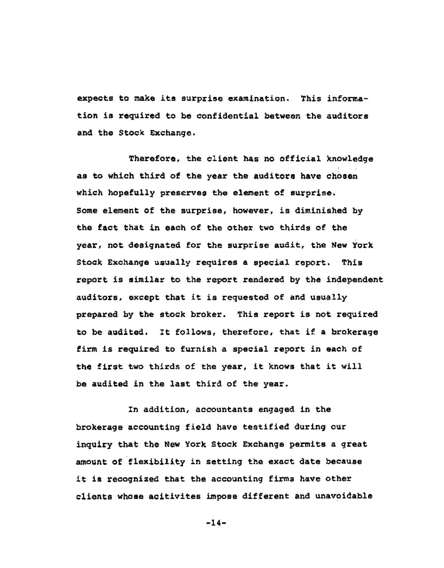expects to make its surprise examination. This information is required to be confidential between the auditors and the Stock Exchange.

Therefore, the client has no official knowledge as to which third of the year the auditors have chosen which hopefully preserves the element of surprise. Some element of the surprise, however, is diminished by the fact that in each of the other two thirds of the year, not designated for the surprise audit, the New York Stock Exchange usually requires a special report. This report is similar to the report rendered by the independent auditors, except that it is requested of and usually prepared by the stock broker. This report is not required to be audited. It follows, therefore, that if a brokerage firm is required to furnish a special report in each of the first two thirds of the year, it knows that it will be audited in the last third of the year.

In addition, accountants engaged in the brokerage accounting field have testified during our inquiry that the New York Stock Exchange permits a great amount of flexibility in setting the exact date because it is recognized that the accounting firms have other clients whose acitivites impose different and unavoidable

**-14-**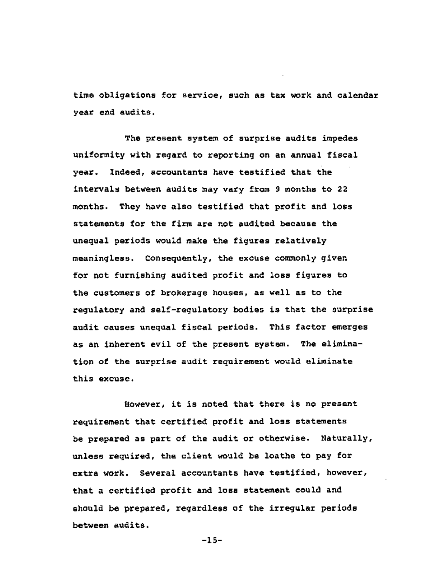time obligations for service, such as tax work and calendar year end audits.

The present system of surprise audits impedes uniformity with regard to reporting on an annual fiscal year. Indeed, accountants have testified that the intervals between audits may vary from 9 months to 22 months. They have also testified that profit and loss statements for the firm are not audited because the unequal periods would make the figures relatively meaningless. Consequently, the excuse commonly given for not furnishing audited profit and loss figures to the customers of brokerage houses, as well as to the regulatory and self-regulatory bodies is that the surprise audit causes unequal fiscal periods. This factor emerges as an inherent evil of the present system. The elimination of the surprise audit requirement would eliminate this excuse.

However, it is noted that there is no present requirement that certified profit and loss statements be prepared as part of the audit or otherwise. Naturally, unless required, the client would be loathe to pay for extra work. Several accountants have testified, however, that a certified profit and loss statement could and should be prepared, regardless of the irregular periods between audits.

-15-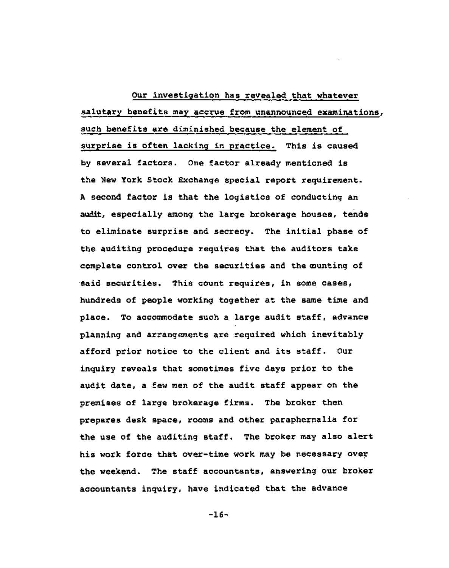Our investigation has revealed that whatever salutary benefits may accrue from unannounced examinations, ,i such benefits are diminished because the element of surprise is often lacking in practice. This is caused by several factors. One factor already mentioned is the New York Stock Exchange special report requirement. A second factor is that the logistics of conducting an audit, especially among the large brokerage houses, tends to eliminate surprise and secrecy. The initial phase of the auditing procedure requires that the auditors take complete control over the securities and the cunting of said securities. This count requires, in some cases, hundreds of people working together at the same time and place. To accommodate such a large audit staff, advance planning and arrangements are required which inevitably afford prior notice to the client and its staff. Our inquiry reveals that sometimes five days prior to the audit date, a few men of the audit staff appear on the premises of large brokerage firms. The broker then prepares desk space, rooms and other paraphernalia for the use of the auditing staff. The broker may also alert his work force that over-time work may be necessary over the weekend. The staff accountants, answering our broker accountants inquiry, have indicated that the advance

**-16-**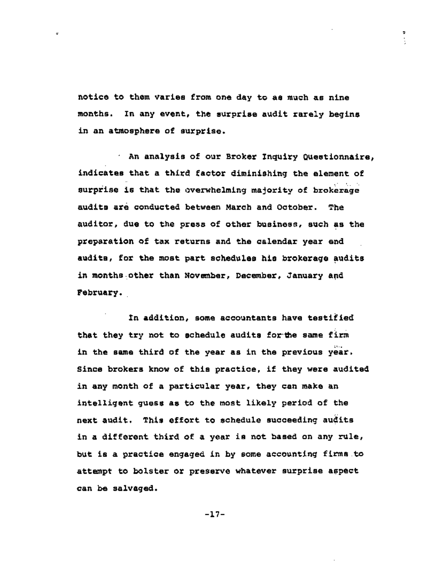notice to them varies from one day to as much as nine months. In any event, the surprise audit rarely begins in an atmosphere of surprise.

An analysis of our Broker Inquiry Questionnaire, indicates that a third factor diminishing the element of surprise is that the overwhelming majority of brokerage audits are conducted between March and October. The auditor, due to the press of other business, such as the preparation of tax returns and the calendar year end~ audits, for the most part schedules his brokerage audits in months other than November, December, January and February.

In addition, some accountants have testified that they try not to schedule audits for the same firm in the same third of the year as in the previous year. Since brokers know of this practice, if they were audited in any month of a particular year, they can make an intelligent guess as to the most likely period of the next audit. This effort to schedule succeeding audits in a different third of a year is not based on any rule, but is a practice engaged in by some accounting firms to attempt to bolster or preserve whatever surprise aspect can be salvaged.

-17-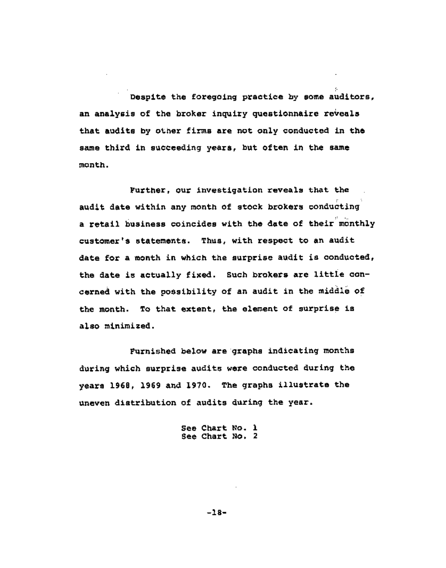Despite the foregoing practice by some auditors, an analysis of the broker inquiry questionnaire reveals that audits by other firms are not only conducted in the same third in succeeding years, but often in the same month.

i-

Further, our investigation reveals that the audit date within any month of stock brokers conducting a retail business coincides with the date of their monthly customer's statements. Thus, with respect to an audit date for a month in which the surprise audit is conducted, the date is actually fixed. Such brokers are littie concerned with the possibility of an audit in the middle of the month. To that extent, the element of surprise is also minimized.

Furnished below are graphs indicating months during which surprise audits were conducted during the years 1968, 1969 and 1970. The graphs illustrate the uneven distribution of audits during the year.

> See Chart No. 1 See Chart No. 2

> > **-18-**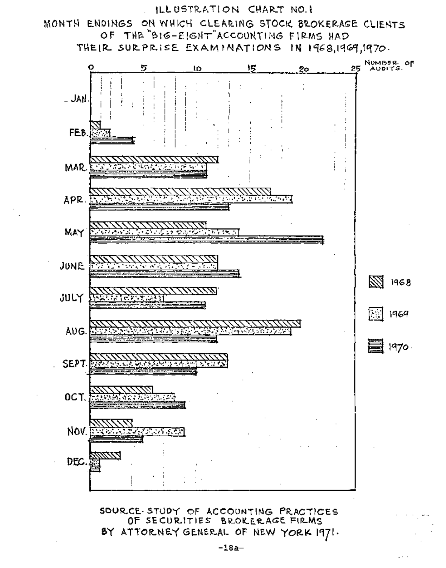

SOUR.CE-STUDY OF ACCOUNTING PRACTICES<br>OF SECURITIES BROKERAGE FIRMS BY ATTORNEY GENERAL OF NEW YORK 1971.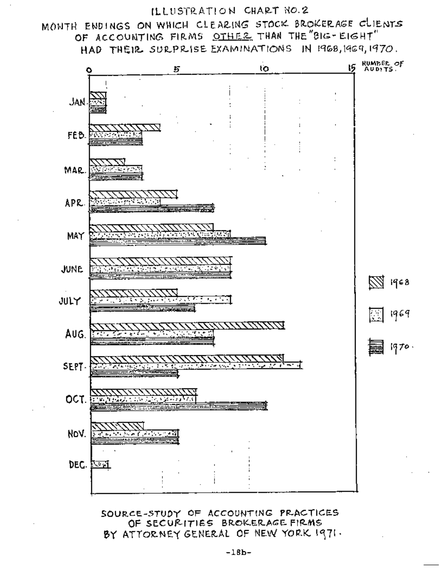# ILLUSTRATION CHART NO.2

# MONTH ENDINGS ON WHICH CLEARING STOCK BROKERAGE CLIENTS OF ACCOUNTING FIRMS OTHER THAN THE "BIG- EIGHT" HAD THEIR SURPRISE EXAMINATIONS IN 1968, 1969, 1970.



SOURCE-STUDY OF ACCOUNTING PRACTICES OF SECURITIES BROKERAGE FIRMS BY ATTORNEY GENERAL OF NEW YORK 1971.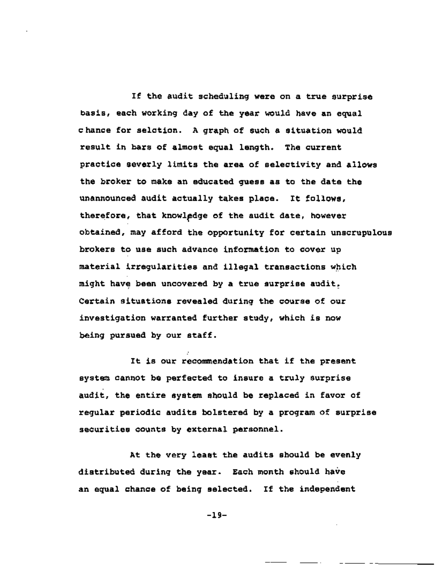If the audit scheduling were on a true surprise basis, each working day of the year would have an equal chance for selction. A graph of such a situation would result in bars of almost equal length. The current practice severly limits the area of selectivity and allows the broker to make an educated guess as to the date the unannounced audit actually takes place. It follows, therefore, that knowledge of the audit date, however obtained, may afford the opportunity for certain unscrupulous brokers to use such advance information to cover up material irregularities and illegal transactions which might have been uncovered by a true surprise audit. Certain situations revealed during the course of our investigation warranted further study, which is now being pursued by our staff.

It is our recommendation that if the present system cannot be perfected to insure a truly surprise audit, the entire system should be replaced in favor of regular periodic audits bolstered by a program of surprise securities counts by external personnel.

**At** the very least the audits should be evenly distributed during the year. Each month should have an equal chance of being selected. If the independent

**-19-**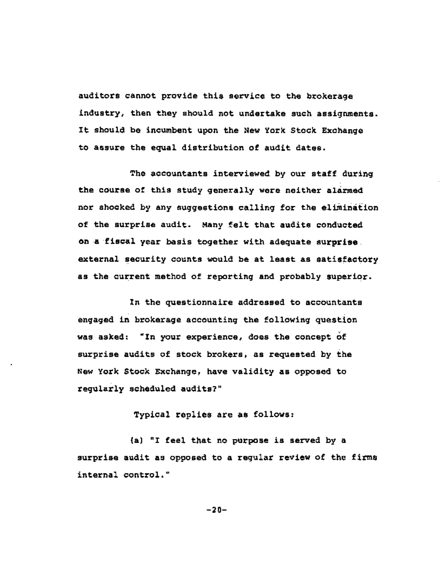auditors cannot provide this service to the brokerage industry, then they should not undertake such assignments. It should be incumbent upon the New York Stock Exchange to assure the equal distribution of audit dates.

The accountants interviewed by our staff during the course of this study generally were neither alarmed nor shocked by any suggestions calling for the elimination of the surprise audit. Many felt that audits conducted on a fiscal year basis together with adequate surprise. external security counts would be at least as satisfactory as the current method of reporting and probably superior.

In the questionnaire addressed to accountants engaged in brokerage accounting the following question was asked: "In your experience, does the concept of surprise audits of stock brokers, as requested by the New York Stock Exchange, have validity as opposed to regularly scheduled audits?"

Typical replies are as follows:

(a) "I feel that no purpose is served by a surprise audit as opposed to a regular review of the firms internal control."

-20-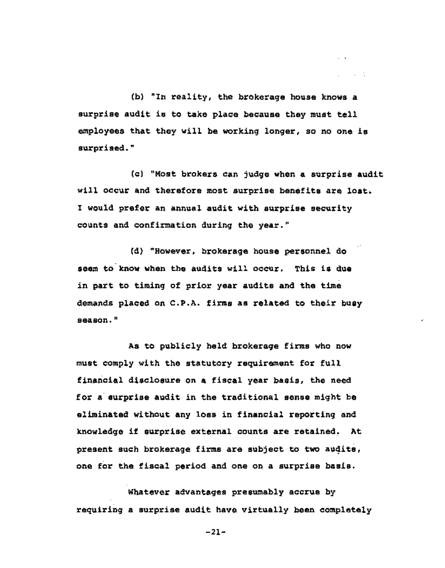(b) "In reality, the brokerage house knows a surprise audit is to take place because they must tell employees that they will be working longer, so no one is surprised."

 $\sim$ 

and a state

(c) "Most brokers can judge when a surprise audit will occur and therefore most surprise benefits are lost. I would prefer an annual audit with surprise security counts and confirmation during the year."

(d) "However, brokerage house personnel do seem to know when the audits will occur. This is due in part to timing of prior year audits and the time demands placed on C.P.A. firms as related to their busy season."

As to publicly held brokerage firms who now must comply with the statutory requirement for full financial disclosure on a fiscal year basis, the need for a surprise audit in the traditional sense might be eliminated without any loss in financial reporting and knowledge if surprise external counts are retained, At present such brokerage firms are subject to two audits, one for the fiscal period and one on a surprise basis.

Whatever advantages presumably accrue by requiring a surprise audit have virtually been completely

 $-21-$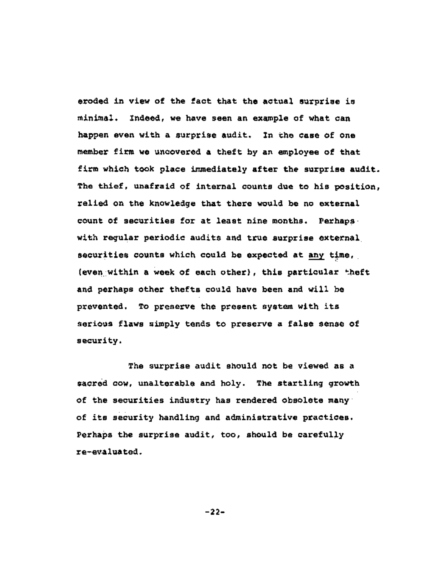eroded in view of the fact that the actual surprise is minimal. Indeed, we have seen an example of what can happen even with a surprise audit. In the case of one member firm we uncovered a theft by an employee of that firm which took place immediately after the surprise audit. The thief, unafraid of internal counts due to his position, relied on the knowledge that there would be no external count of securities for at least nine months. Perhaps with regular periodic audits and true surprise external securities counts which could be expected at any time, (even within a week of each other), this particular theft and perhaps other thefts could have been and will be prevented. To preserve the present system with its serious flaws simply tends to preserve a false sense of security.

The surprise audit should not be viewed as a sacred cow, unalterable and holy. The startling growth of the securities industry has rendered obsolete many • of its security handling and administrative practices. Perhaps the surprise audit, too, should be carefully re-evaluated.

-22-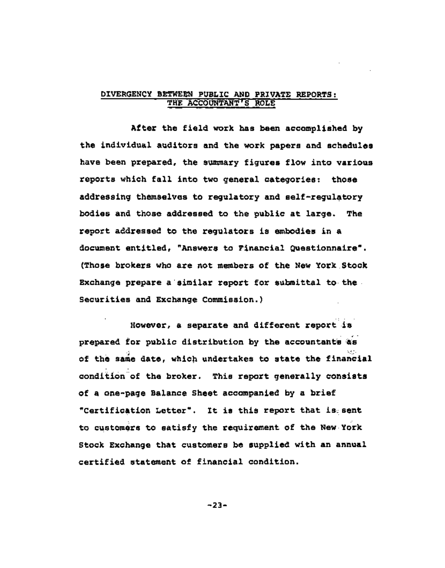## DIVERGENCY BETWEEN PUBLIC AND PRIVATE REPORTS: THE ACCOUNTANT'S ROLE

After the field work has been accomplished by the individual auditors and the work papers and schedules have been prepared, the summary figures flow into various reports which fall into two general categories: those addressing themselves to regulatory and self-regulatory bodies and those addressed to the public at large. The report addressed to the regulators is embodies in a document entitled, "Answers to Financial Questionnaire". (Those brokers who are not members of the New York~Stock Exchange prepare a'similar report for submittal to the Securities and Exchange Commission.)

However, a separate and different report is prepared for public distribution by the accountants as of the same date, which undertakes to state the financial condition of the broker. This report generally consists of a one-page Balance Sheet accompanied by a brief "Certification Letter". It is this report that is~sent to customers to satisfy the requirement of the New Y0rk Stock Exchange that customers be supplied with an annual certified statement of financial condition.

-23-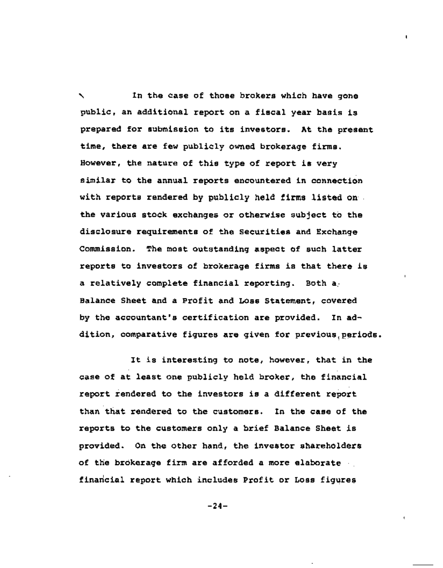In the case of those brokers which have gone public, an additional report on a fiscal year basis is prepared for submission to its investors. At the present time, there are few publicly owned brokerage firms. However, the nature of this type of report is very similar to the annual reports encountered in connection with reports rendered by publicly held firms listed on. the various stock exchanges or otherwise subject to the disclosure requirements of the Securities and Exchange Commission. The most outstanding aspect of such latter reports to investors of brokerage firms is that there is a relatively complete financial reporting. Both a-Balance Sheet and a Profit and Loss Statement, covered by the accountant's certification are provided. In addition, comparative figures are given for previous periods.  $\mathbf{I}$ 

It is interesting to note, however, that in the case of at least one publicly held broker, the financial report rendered to the investors is a different report than that rendered to the customers. In the case of the reports to the customers only a brief Balance Sheet is provided. On the other hand, the investor shareholders of the brokerage firm are afforded a more elaborate financial report which includes Profit or Loss figures

**-24-**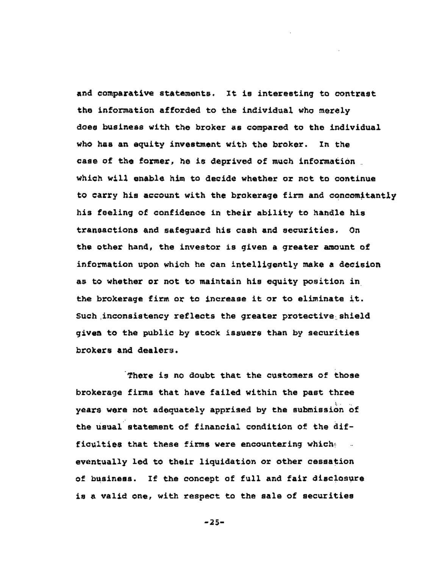and comparative statements. It is interesting to contrast the information afforded to the individual who merely does business with the broker as compared to the individual who has an equity investment with the broker. In the case of the former, he is deprived of much information which will enable him to decide whether or not to continue to carry his account with the brokerage firm and concomitantly his feeling of confidence in their ability to handle his transactions and safeguard his cash and securities. On the other hand, the investor is given a greater amount of information upon which he can intelligently make a decision as to whether or not to maintain his equity position in the brokerage firm or to increase it or to eliminate it. Such inconsistency reflects the greater protective shield given to the public by stock issuers than by securities brokers and dealers.

There is no doubt that the customers of those brokerage firms that have failed within the past three years were not adequately apprised by the submission of the usual statement of financial condition of the difficulties that these firms were encountering which eventually led to their liquidation or other cessation of business. If the concept of full and fair disclosure is a valid one, with respect to the sale of securities

-25-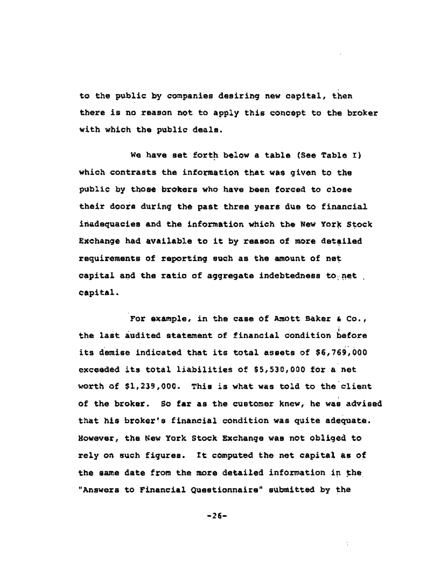to the public by companies desiring new capital, then there is no reason not to apply this concept to the broker with which the public deals.

We have set forth below a table (See Table I) which contrasts the information that was given to the public by those brokers who have been forced to close their doors during the past three years due to financial inadequacies and the information which the New York Stock Exchange had available to it by reason of more detailed requirements of reporting such as the amount of net capital and the ratio of aggregate indebtedness to net capital.

For example, in the case of Amott Baker & Co., i the last audited statement of financial condition before its demise indicated that its total assets of \$6,769,000 exceeded its total liabilities of \$5,530,000 for a net worth of \$1,239,000. This is what was told to the client of the broker. So far as the customer knew, he was advised that his broker's financial condition was quite adequate. However, the New York Stock Exchange was not obliged to rely on such figures. It computed the net capital as of the same date from the more detailed information in the "Answers to Financial Questionnaire" submitted by the

**-26-**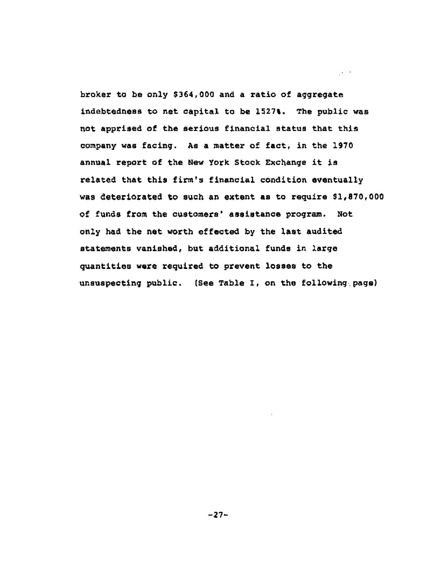broker to be only \$364,000 and a ratio of aggregate indebtedness to net capital to be 1527%. The public was not apprised of the serious financial status that this company was facing. As a matter of fact, in the 1970 annual report of the New York Stock Exchange it is related that this firm's financial condition eventually was deteriorated to such an extent as to require \$1,870,000 of funds from the customers' assistance program. Not only had the net worth effected by the last audited statements vanished, but additional funds in large quantities were required to prevent losses to the unsuspecting public. (See Table I, on the following page)

 $\mathcal{A}^{(1)}$  and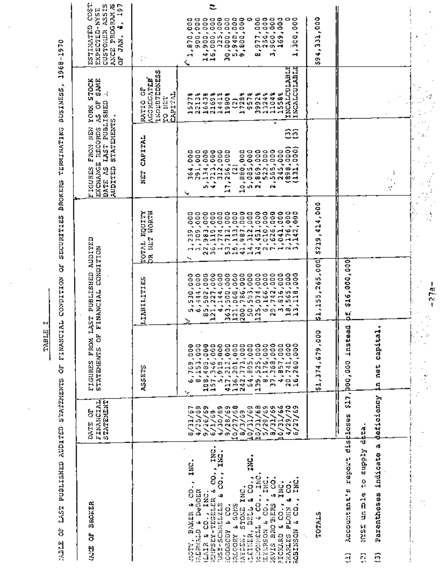I. HABAT

ł,

 $\ddot{\phantom{0}}$ 

 $\ddot{\phantom{a}}$ 

l,

0 **I c~**  .-4 -r..q H m  $\blacksquare$  $\overline{a}$ H "[-=1  $\overline{\mathbf{r}}$ O ម<br>អ  $^{\prime\prime}$ O Z O H  $\tilde{\circ}$ H H O t/l Ul ul គ្ន **121** m an I O **~g** 

| BROKER<br>ģ<br><b>BASE</b>                                                                                                                                                                                          | FINANCIAL<br>STATEMENT<br>5<br>DATE                                               | ä<br><b>STATEMENTS</b><br><b>FIGURES</b>                                                                                                                                                                                                                                   | FROM LAST PUBLISHED AUDITED<br>FINANCIAL CONDITION                                                                                   |                                                                               | LAST PUBLISHED<br>STATEMENTS<br>PROM NEW<br>records<br>EXCHANGE<br>FIGURES<br>DATE AS<br><b>AUDITED</b>                                                                                                                                                                                                                                                                    | <b>SAME</b><br>YORK STOCK<br>-4<br>5<br>ą                                                            | COST<br>CUSTORER ASSIS<br>197<br>ANCE PROGRAME<br>EXPECTED-NYSE<br>٠<br>ESTIMATED<br>÷<br>JAN.<br>å |
|---------------------------------------------------------------------------------------------------------------------------------------------------------------------------------------------------------------------|-----------------------------------------------------------------------------------|----------------------------------------------------------------------------------------------------------------------------------------------------------------------------------------------------------------------------------------------------------------------------|--------------------------------------------------------------------------------------------------------------------------------------|-------------------------------------------------------------------------------|----------------------------------------------------------------------------------------------------------------------------------------------------------------------------------------------------------------------------------------------------------------------------------------------------------------------------------------------------------------------------|------------------------------------------------------------------------------------------------------|-----------------------------------------------------------------------------------------------------|
|                                                                                                                                                                                                                     |                                                                                   | ASSETS                                                                                                                                                                                                                                                                     | LIABILITIES                                                                                                                          | DR NET WORTH<br><b>EQUITY</b><br>TOTAL                                        | CAPITAL<br><b>NEW</b>                                                                                                                                                                                                                                                                                                                                                      | INDEBTEDNESS<br><b>AGGREGATER</b><br>5<br>CAPITAL<br>ro ust<br>RATIO                                 |                                                                                                     |
| INC.<br>IXC.<br>INC<br>co.,<br>č,<br>co.,<br>$\ddot{a}$<br>a DeBOER<br>INC.<br>J<br><b>ZERSEY-TEGELER</b><br>J,<br>USZ-SCHMSLZLS<br>$\ddot{a}$ co.,<br><b>BAKER</b><br><b>CARDINAL O</b><br>Alotti,<br><b>KLA1R</b> | ā<br>$\frac{9}{26}/59$<br>6/1/69<br>ç.<br>725/65<br>ੇ<br>ప<br>২                   | 500.1<br>0<br>Ф<br>8,153<br>٥<br>۰<br>٠                                                                                                                                                                                                                                    | 1,000<br>÷<br>ន្ល<br>4<br>٦<br>un,<br>a di<br>u7<br>Φ<br>⊣<br>১                                                                      | 000<br>,000<br>o<br>Š<br>Ã<br>1,7383<br>1,7883<br>1,983<br>1,099<br>י ה<br>٦c | 291,000<br>$\begin{array}{c} 1.14 \\ 21.2 \\ 31.2 \\ 000 \\ 1.31 \\ 2.56 \\ 0.01 \\ 0.00 \\ 0.00 \\ 0.00 \\ 0.00 \\ 0.00 \\ 0.00 \\ 0.00 \\ 0.00 \\ 0.00 \\ 0.00 \\ 0.00 \\ 0.00 \\ 0.00 \\ 0.00 \\ 0.00 \\ 0.00 \\ 0.00 \\ 0.00 \\ 0.00 \\ 0.00 \\ 0.00 \\ 0.00 \\ 0.00 \\ 0.00 \\ 0.00 \\ 0.00 \\ 0.00 \\ 0.00 \\ 0.0$<br>coo<br>÷<br>G<br>S.<br>۰.<br>۰<br>5<br>÷<br>╰╸ | حق حق<br>e<br>Coro<br>m<br>Ç<br>∼<br>इ में<br>⊣<br>Φ<br>N<br>Ŧ<br>u٦<br>L1<br>ᆏ<br>N                 | ą,<br>oσ<br>900,00<br>Ο<br>Ŕ<br>0.65<br>↤                                                           |
| INC.<br>INC<br>$rac{1}{2}$<br>INC.<br>$rac{1}{2}$<br>E SONS<br>s<br>a<br><b>LEED</b><br>51012<br><b>TTERSONS</b><br><b>CEINER,</b><br>Acoptopi<br><b>ZZLCORY</b><br>IAYOEN,                                         | $10/27/68$<br>$18/3/69$<br>ශ ක<br>ග<br>1/30/69<br>9/28/69<br>10/31/69<br>10/31/61 | $\begin{smallmatrix} 108\,,495\,,\,000\,\\ 157\,,\,346\,,\,000\,\\ 157\,,\,211\,,\,010\,\\ 117\,,\,211\,,\,010\,\\ 126\,,\,211\,,\,010\,\\ 242\,,\,173\,,\,213\,\\ 39\,,\,173\,\\ 139\,,\,173\,\\ 139\,,\,173\,\\ 139\,,\,173\,\\ 139\,,\,173\,\\ 14\,,\,85\,\\ 14\,,\,85$ | ٠<br>$\begin{array}{r} 1.11 \\ 4.010 \\ -0.100 \\ -0.100 \\ \hline \end{array}$<br>иΝ<br>ᆏ                                           | 712<br>μ,<br>$-1 - 0 -$                                                       | 3<br>z<br>Д                                                                                                                                                                                                                                                                                                                                                                | ۵é<br>훉<br>78<br>$\rightarrow$ $\circ$<br>œ<br>n,<br>c<br>┄<br>G<br>$\rightarrow$ $\rightarrow$<br>⊶ | ≎                                                                                                   |
| INC.<br>$5 \, \text{CO}$<br>IXC<br>INC.<br>ġ.<br>Ч<br>$\ddot{s}$<br>ġ<br>MAIS BROTHERS<br>$\overline{\phantom{a}}$<br><b>ELOIDA</b><br>بعا<br>٦J<br><b>TEXERSON</b><br>KOBINSON<br>PICKARD<br>CHARLES               | ወወወ<br>оø<br>5/29/65<br>731/65<br>0/31/6<br>$\frac{78}{25}$<br>$\frac{1}{4}$<br>N | 88<br>88<br>41.1<br>Φ<br>ω<br>$\sim$<br>r.<br>oφ<br>N                                                                                                                                                                                                                      | w<br>Φ<br>ທຜາ<br>A<br>$\overline{\phantom{0}}$<br>ື⊶<br>$\rightarrow$ $\rightarrow$<br>≃<br>ທ⊣<br>٠<br>٠<br>۰<br>onoamen<br><b>N</b> | афа<br>Ŧ<br>r<br>۰.,<br>جَ<br>ጣወሐፍፍጭኮሐሴጣ<br>ወወሐፍፍጭኮሐሴጣ                        | ôô<br>$[\begin{smallmatrix} 10 & 0 & 0 & 0 \\ 10 & 0 & 0 & 0 \\ 5 & 0 & 0 & 0 \\ 2 & 0 & 0 & 0 \\ 3 & 0 & 0 & 0 \\ 4 & 0 & 0 & 0 \\ 5 & 0 & 0 & 0 \\ 2 & 0 & 0 & 0 \\ 3 & 0 & 0 & 0 \\ 4 & 0 & 0 & 0 \\ 1 & 0 & 0 & 0 \\ 1 & 0 & 0 & 0 \\ 1 & 0 & 0 & 0 \\ 1 & 0 & 0 & 0 \\ 1 & 0 & 0 & 0 \\ 1 & 0 & 0 & 0 \\ 1 & 0 & 0 & 0 \\ 1 & 0 & 0$                                  | <b>INCALCULABLE</b><br>INCALCULABLE<br>392448<br>112448<br>112588                                    | 8,977,000<br>3,000,000<br>3,900,000<br>469,000<br>1,000<br>o<br>នី<br>$\blacksquare$                |
| TOTALS                                                                                                                                                                                                              |                                                                                   | \$1,374,679,000                                                                                                                                                                                                                                                            | ,265,000<br>55<br>ત્<br>₫                                                                                                            | 114,000<br>\$219                                                              |                                                                                                                                                                                                                                                                                                                                                                            |                                                                                                      | 000,102,458                                                                                         |
| <b>Teport</b><br>Accountant's<br>Я                                                                                                                                                                                  | discluses                                                                         | s17,000,000 instead                                                                                                                                                                                                                                                        | \$16,000,000<br>X                                                                                                                    |                                                                               |                                                                                                                                                                                                                                                                                                                                                                            |                                                                                                      |                                                                                                     |
| supply data<br>ı¢<br>indicate<br>$\ddot{5}$<br>rarenthess<br>un fine<br><b>NNSSE</b><br>ą<br>0                                                                                                                      | deficiency                                                                        | in net capital.                                                                                                                                                                                                                                                            |                                                                                                                                      |                                                                               | Ĩ<br>$\blacksquare$                                                                                                                                                                                                                                                                                                                                                        |                                                                                                      |                                                                                                     |
|                                                                                                                                                                                                                     |                                                                                   |                                                                                                                                                                                                                                                                            | $-27a-$                                                                                                                              | Î,                                                                            |                                                                                                                                                                                                                                                                                                                                                                            |                                                                                                      |                                                                                                     |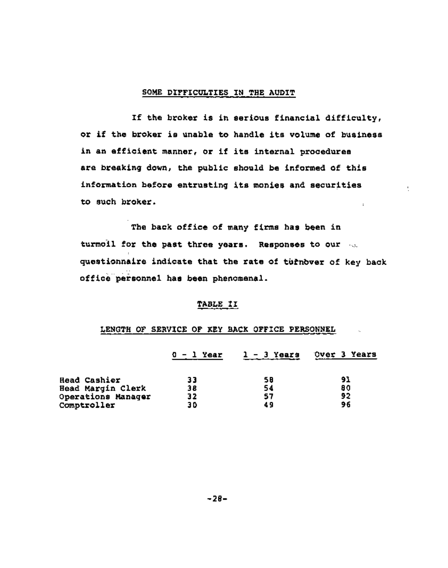### SOME DIFFICULTIES IN THE AUDIT

If the broker is in serious financial difficulty, or if the broker is unable to handle its volume of business in an efficient manner, or if its internal procedures are breaking down, the public should be informed of this information before entrusting its monies and securities to such broker.  $\ddot{i}$ 

ł,

The back office of many firms has been in turmoil for the past three years. Responses to our  $\sim$ . questionnaire indicate that the rate of turnbver of key back office personnel has been phenomenal.

## TABLE II

## LENGTH OF SERVICE OF KEY BACK OFFICE PERSONNEL

|                     | $0 - 1$ Year | $1 - 3$ Years | Over 3 Years |
|---------------------|--------------|---------------|--------------|
|                     |              |               |              |
| <b>Head Cashier</b> | 33           | 58            | 91           |
| Head Margin Clerk   | 38           | 54            | 80           |
| Operations Manager  | 32           | 57            | 92           |
| Comptroller         | 30           | 49            | 96           |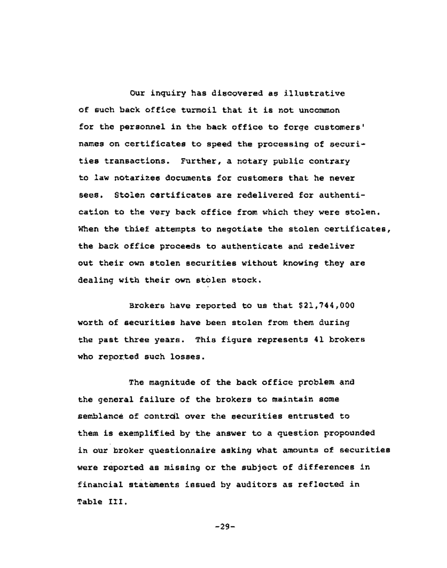Our inquiry has discovered as illustrative of such back office turmoil that it is not uncommon for the personnel in the back office to forge customers' names on certificates to speed the processing of securities transactions. Further, a notary public contrary to law notarizes documents for customers that he never sees. Stolen certificates are redelivered for authentication to the very back office from which they were stolen. When the thief attempts to negotiate the stolen certificates, the back office proceeds to authenticate and redeliver out their own stolen securities without knowing they are dealing with their own stolen stock.

Brokers have reported to us that \$21,744,000 worth of securities have been stolen from them during the past three years. This figure represents 41 brokers who reported such losses.

The magnitude of the back office problem and the general failure of the brokers to maintain some semblance of contrdl over the securities entrusted to them is exempliTied by the answer to a question propounded in our broker questionnaire asking what amounts of securities were reported as missing or the subject of differences in financial statements issued by auditors as reflected in Table III.

-29-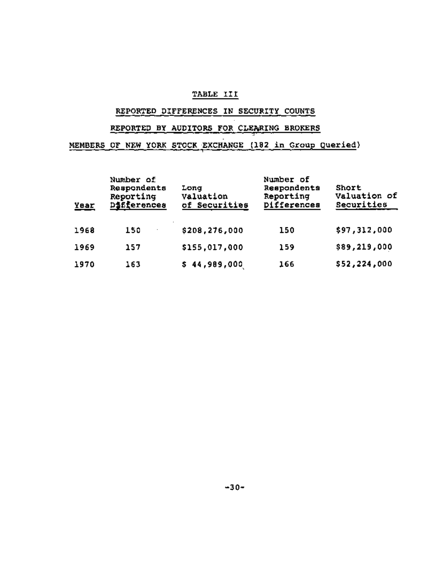## TABLE III

## REPORTED DIFFERENCES IN SECURITY COUNTS

# REPORTED BY AUDITORS FOR CLEARING BROKERS

MEMBERS OF NEW YORK STOCK EXCHANGE (182 in Group Queried)

| Year | Number of<br>Respondents<br>Reporting<br>Differences | Long<br>Valuation<br>of Securities | Number of<br>Respondents<br>Reporting<br>Differences | Short<br>Valuation of<br>Securities |
|------|------------------------------------------------------|------------------------------------|------------------------------------------------------|-------------------------------------|
| 1968 | 150                                                  | \$208,276,000                      | 150                                                  | \$97,312,000                        |
| 1969 | 157                                                  | \$155,017,000                      | 159                                                  | \$89,219,000                        |
| 1970 | 163                                                  | \$44,989,000                       | 166                                                  | \$52,224,000                        |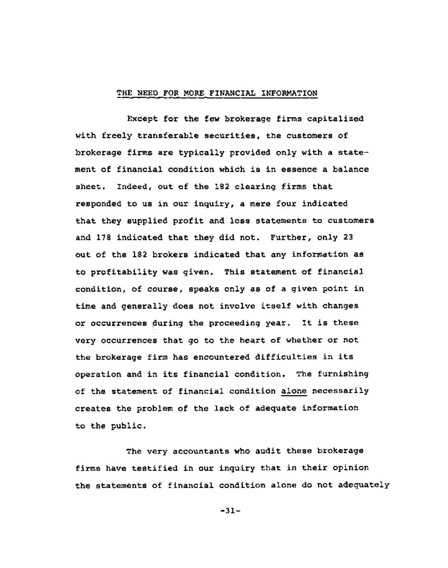## THE NEED FOR MORE FINANCIAL INFORMATION

Except for the few brokerage firms capitalized with freely transferable securities, the customers of brokerage firms are typically provided only with a statement of financial condition which is in essence a balance sheet. Indeed, out of the 182 clearing firms that responded to us in our inquiry, a mere four indicated that they supplied profit and loss statements to customers and 178 indicated that they did not. Further, only 23 out of the 182 brokers indicated that any information as to profitability was given. This statement of financial condition, of course, speaks only as of a given point in time and generally does not involve itself with changes or occurrences during the proceeding year. It is these very occurrences that go to the heart of whether or not the brokerage firm has encountered difficulties in its operation and in its financial condition. The furnishing of the statement of financial condition alone necessarily creates the problem of the lack of adequate information to the public.

The very accountants who audit these brokerage firms have testified in our inquiry that in their opinion the statements of financial condition alone do not adequately

-31-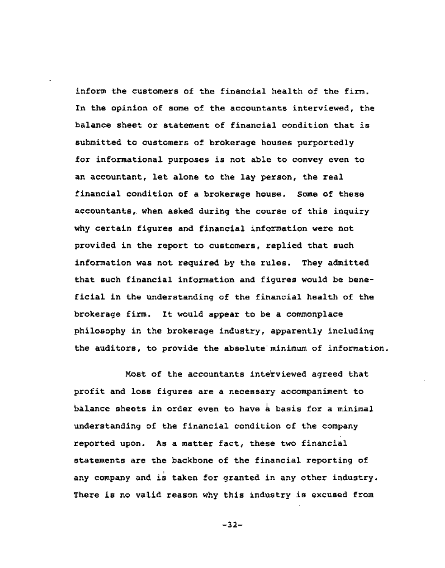inform the customers of the financial health of the firm. In the opinion of some of the accountants interviewed, the balance sheet or statement of financial condition that is submitted to customers of brokerage houses purportedly for informational purposes is not able to convey even to an accountant, let alone to the lay person, the real financial condition of a brokerage house. Some of these accountants, when asked during the course of this inquiry why certain figures and financial information were not provided in the report to customers, replied that such information was not required by the rules. They admitted that such financial information and figures would be beneficial in the understanding of the financial health of the brokerage firm. It would appear to be a commonplace philosophy in the brokerage industry, apparently including the auditors, to provide the abselute minimum of information.

Most of the accountants interviewed agreed that profit and loss figures are a necessary accompaniment to balance sheets in order even to have  $\frac{1}{2}$  basis for a minimal understanding of the financial condition of the company reported upon. As a matter fact, these two financial statements are the backbone of the financial reporting of any company and is taken for granted in any other industry. There is no valid reason why this industry is excused from

-32-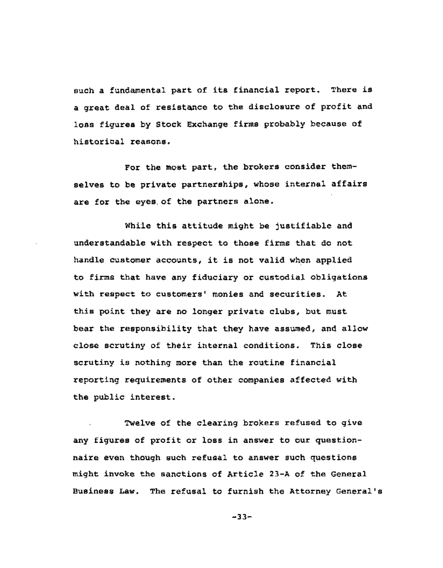such a fundamental part of its financial report. There is a great deal of resistance to the disclosure of profit and loss figures by Stock Exchange firms probably because of historical reasons.

For the most part, the brokers consider themselves to be private partnerships, whose internal affairs are for the eyes of the partners alone.

While this attitude might be justifiable and understandable with respect to those firms that do not handle customer accounts, it is not valid when applied to firms that have any fiduciary or custodial obligations with respect to customers' monies and securities. At this point they are no longer private clubs, but must bear the responsibility that they have assumed, and allow close scrutiny of their internal conditions. This close scrutiny is nothing more than the routine financial reporting requirements of other companies affected with the public interest.

Twelve of the clearing brokers refused to give any figures of profit or loss in answer to our questionnaire even though such refusal to answer such questions might invoke the sanctions of Article 23-A of the General Business Law. The refusal to furnish the Attorney General's

 $-33-$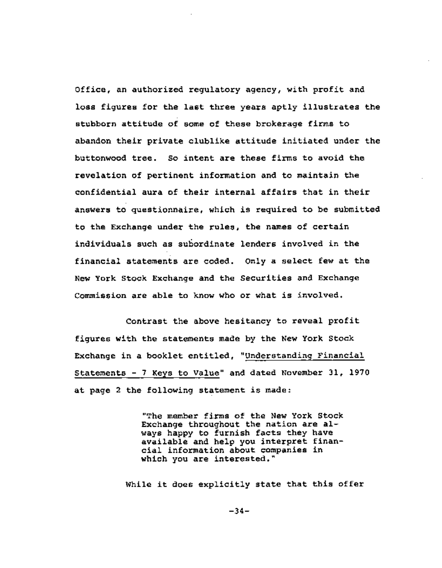Office, an authorized regulatory agency, with profit and loss figures for the last three years aptly illustrates the stubborn attitude of some of these brokerage firms to abandon their private clublike attitude initiated under the buttonwood tree. So intent are these firms to avoid the revelation of pertinent information and to maintain the confidential aura of their internal affairs that in their answers to questionnaire, which is required to be submitted to the Exchange under the rules, the names of certain individuals such as subordinate lenders involved in the financial statements are coded. Only a select few at the New York Stock Exchange and the Securities and Exchange Commission are able to know who or what is involved.

Contrast the above hesitancy to reveal profit figures with the statements made by the New York Stock Exchange in a booklet entitled, "Understanding Financial Statements - 7 Keys to Value" and dated November 31, 1970 at page 2 the following statement is made:

> "The member firms of the New York Stock Exchange throughout the nation are always happy to furnish facts they have available and help you interpret financial information about companies in which you are interested."

While it does explicitly state that this offer

**-34-**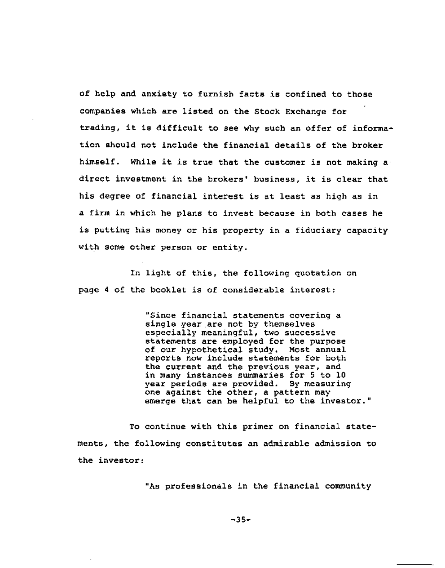of help and anxiety to furnish facts is confined to those companies which are listed on the Stock Exchange for trading, it is difficult to see why such an offer of information should not include the financial details of the broker himself. While it is true that the customer is not making a direct investment in the brokers' business, it is clear that his degree of financial interest is at least as high as in a firm in which he plans to invest because in both cases he is putting his money or his property in a fiduciary capacity with some other person or entity.

In light of this, the following quotation on page 4 of the booklet is of considerable interest:

> "Since financial statements covering a single year are not by themselves especially meaningful, two successive statements are employed for the purpose of our hypothetical study. Most annual reports now include statements for both the current and the previous year, and in many instances summaries for 5 to 10 year periods are provided. By measuring one against the other, a pattern may emerge that can be helpful to the investor."

To continue with this primer on financial statements, the following constitutes an admirable admission to the investor:

"As professionals in the financial community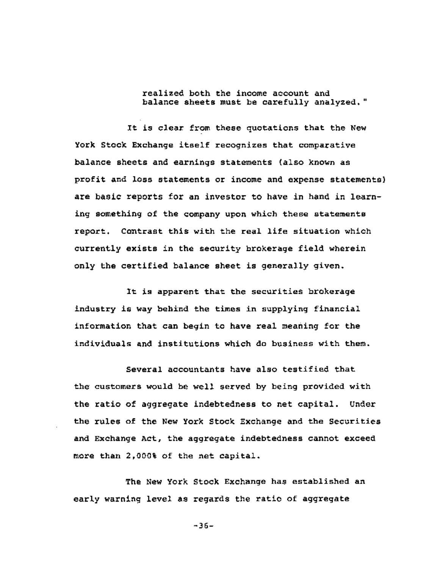realized both the income account and balance sheets must be carefully analyzed."

It is clear from these quotations that the New York Stock Exchange itself recognizes that comparative balance sheets and earnings statements (also known as profit and loss statements or income and expense statements) are basic reports for an investor to have in hand in learning something of the company upon which these statements report. Contrast this with the real life situation which currently exists in the security brokerage field wherein only the certified balance sheet is generally given.

It is apparent that the securities brokerage industry is way behind the times in supplying financial information that can begin to have real meaning for the individuals and institutions which do business with them.

Several accountants have also testified that the customers would be well served by being provided with the ratio of aggregate indebtedness to net capital. Under the rules of the New York Stock Exchange and the Securities and Exchange Act, the aggregate indebtedness cannot exceed more than 2,000% of the net capital.

The New York Stock Exchange has established an early warning level as regards the ratio of aggregate

-36-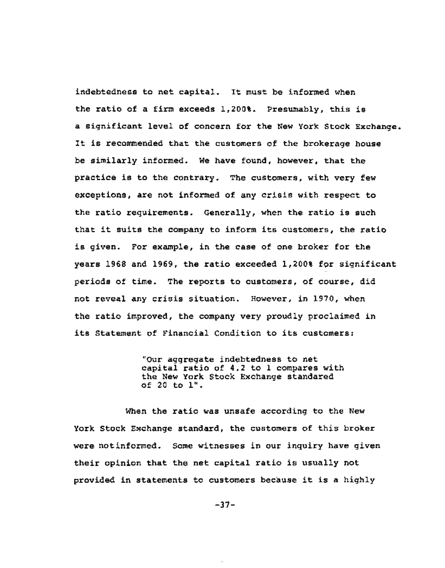indebtedness to net capital. It must be informed when the ratio of a firm exceeds 1,200%. Presumably, this is a significant level of concern for the New York Stock Exchange. It is recommended that the customers of the brokerage house be similarly informed. We have found, however, that the practice is to the contrary. The customers, with very few exceptions, are not informed of any crisis with respect to the ratio requirements. Generally, when the ratio is such that it suits the company to inform its customers, the ratio is given. For example, in the case of one broker for the years 1968 and 1969, the ratio exceeded 1,200% for significant periods of time. The reports to customers, of course, did not reveal any crisis situation. However, in 1970, when the ratio improved, the company very proudly proclaimed in its Statement of Financial Condition to its customers:

> "Our aggregate indebtedness to net capital ratio of 4.2 to 1 compares with the New York Stock Exchange standared of 20 to i".

When the ratio was unsafe according to the New York Stock Exchange standard, the customers of this broker were notinformed. Some witnesses in our inquiry have given their opinion that the net capital ratio is usually not provided in statements to customers because it is a highly

**-37-** 

 $\cdot$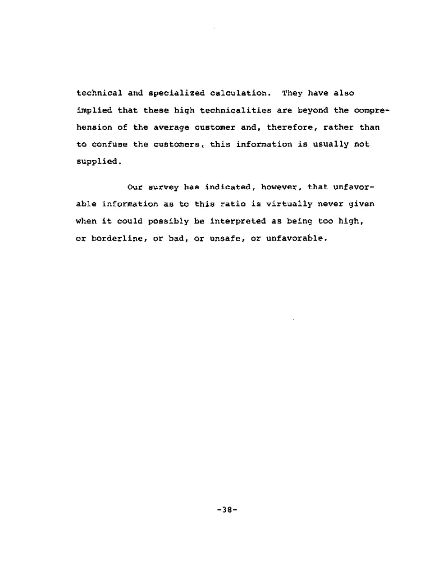technical and specialized calculation. They have also implied that these high technicalities are beyond the comprehension of the average customer and, therefore, rather than to confuse the customers, this information is usually not supplied.

Our survey has indicated, however, that unfavorable information as to this ratio is virtually never given when it could possibly be interpreted as being too high, or borderline, or bad, or unsafe, or unfavorable.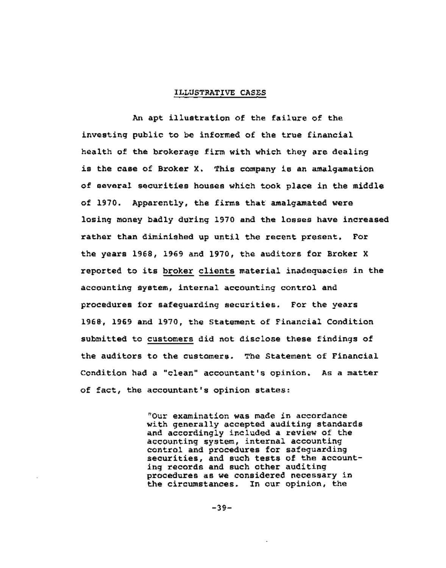#### ILLUSTRATIVE CASES

An apt illustration of the failure of the investing public to be informed of the true financial health of the brokerage firm with which they are dealing is the case of Broker X. This company is an amalgamation of several securities houses which took place in the middle of 1970. Apparently, the firms that amalgamated were losing money badly during 1970 and the losses have increased rather than diminished up until the recent present. For the years 1968, 1969 and 1970, the auditors for Broker X reported to its broker clients material inadequacies in the accounting system, internal accounting control and procedures for safeguarding securities. For the years 1968, 1969 and 1970, the Statement of Financial Condition submitted to customers did not disclose these findings of the auditors to the customers. The Statement of Financial Condition had a "clean" accountant's opinion. As a matter of fact, the accountant's opinion states:

> "Our examination was made in accordance with generally accepted auditing standards and accordingly included a review of the accounting system, internal accounting control and procedures for safeguarding securities, and such tests of the accounting records and such other auditing procedures as we considered necessary in the circumstances. In our opinion, the

> > **-39-**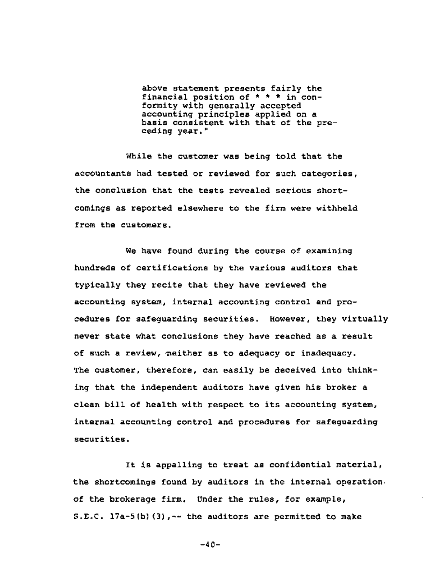above statement presents fairly the financial position of \* \* \* in conformity with generally accepted accounting principles applied on a basis consistent with that of the preceding year."

While the customer was being told that the accountants had tested or reviewed for such categories, the conclusion that the tests revealed serious shortcomings as reported elsewhere to the firm were withheld from the customers.

We have found during the course of examining hundreds of certifications by the various auditors that typically they recite that they have reviewed the accounting system, internal accounting control and procedures for safeguarding securities. However, they virtually never state what conclusions they have reached as a result of such a review, neither as to adequacy or inadequacy. The customer, therefore, can easily be deceived into thinking that the independent auditors have given his broker a clean bill of health with respect to its accounting system, internal accounting control and procedures for safeguarding securities.

**It** is appalling to treat as confidential material, the shortcomings found by auditors in the internal operation. of the brokerage firm. Under the rules, for example, S.E.C.  $17a-5(b)$  (3),  $-4$  the auditors are permitted to make

**-40-**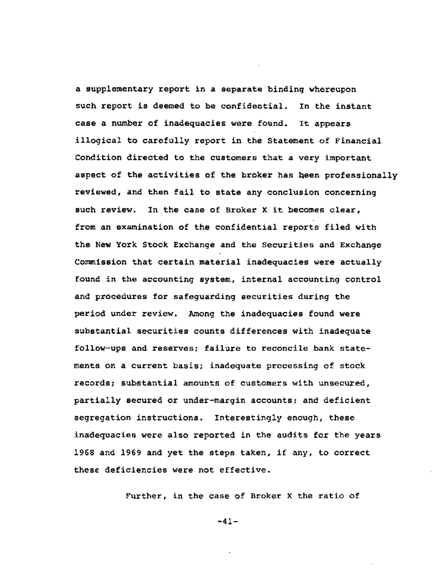a supplementary report in a separate binding whereupon such report is deemed to be confidential. In the instant case a number of inadequacies were found. It appears illogical to carefully report in the Statement of Financial Condition directed to the customers that a very important aspect of the activities of the broker has been professionally reviewed, and then fail to state any conclusion concerning such review. In the case of Broker X it becomes clear, from an examination of the confidential reports filed with the New York Stock Exchange and the Securities and Exchange Commission that certain material inadequacies were actually found in the accounting system, internal accounting control and procedures for safeguarding securities during the period under review. Among the inadequacies found were substantial securities counts differences with inadequate follow-ups and reserves; failure to reconcile bank statements on a current basis; inadequate processing of stock records; substantial amounts of customers with unsecured, partially secured or under-margin accounts; and deficient segregation instructions. Interestingly enough, these inadequacies were also reported in the audits for the years 1968 and 1969 and yet the steps taken, if any, to correct these deficiencies were not effective.

Further, in the case of Broker X the ratio of

**-41-**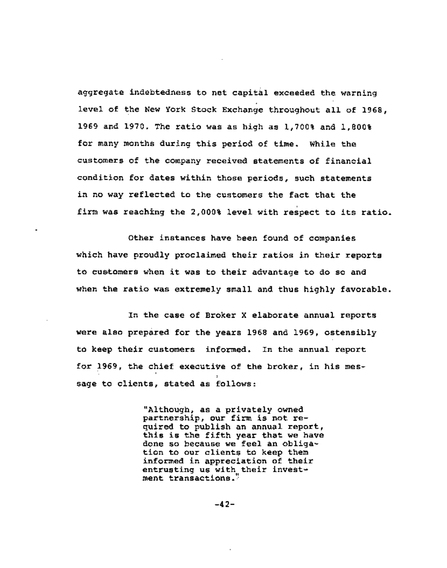aggregate indebtedness to net capital exceeded the warning level of the New York Stock Exchange throughout all of 1968, 1969 and 1970. The ratio was as high as 1,700% and 1,800% for many months during this period of time. While the customers of the company received statements of financial condition for dates within those periods, such statements in no way reflected to the customers the fact that the firm was reaching the 2,000% level with respect to its ratio.

Other instances have been found of companies which have proudly proclaimed their ratios in their reports to customers when it was to their advantage to do so and when the ratio was extremely small and thus highly favorable.

In the case of Broker X elaborate annual reports were also prepared for the years 1968 and 1969, ostensibly to keep their customers informed. In the annual report for 1969, the chief executive of the broker, in his message to clients, stated as follows:

> "Although, as a privately owned partnership, our firm is not required to publish an annual report, this is the fifth year that we have done so because we feel an obligation to our clients to keep them informed in appreciation of their entrusting us with. their investment transactions.

> > **-42-**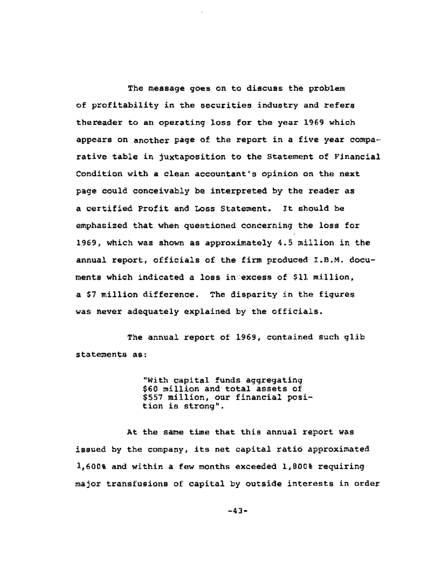The message goes on to discuss the problem of profitability in the securities industry and refers thereader to an operating loss for the year 1969 which appears on another page of the report in a five year comparative table in juxtaposition to the Statement of Financial Condition with a clean accountant's opinion on the next page could conceivably be interpreted by the reader as a certified Profit and Loss Statement. It should be emphasized that when questioned concerning the loss for 1969, which was shown as approximately 4.5 million in the annual report, officials of the firm produced I.B.M. documents which indicated a loss in excess of \$11 million. a \$7 million difference. The disparity in the figures was never adequately explained by the officials.

The annual report of 1969, contained such glib statements as:

> "With capital funds aggregating \$60 million and total assets of \$557 million, our financial position is strong".

**At** the same time that this annual report was issued by the company, its net capital ratio approximated 1,600% and within a few months exceeded 1,8D0% requiring major transfusions of capital by outside interests in order

**-43-**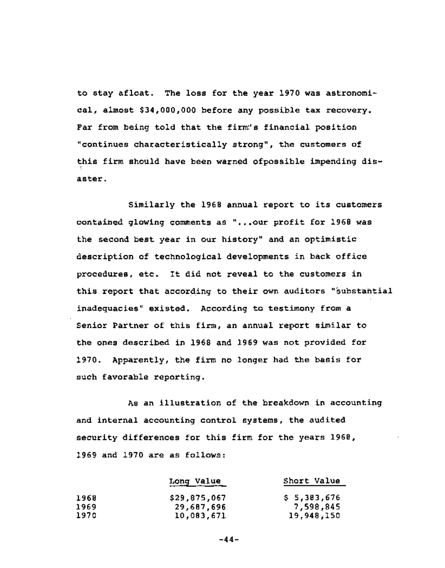to stay afloat. The loss for the year 1970 was astronomical, almost \$34,000,000 before any possible tax recovery. Far from being told that the firm"s financial position "continues characteristically strong", the customers of this firm should have been warned ofpossible impending disaster.

Similarly the 1968 annual report to its customers contained glowing comments as "...our profit for 1968 was the second best year in our history" and an optimistic description of technological developments in back office procedures, etc. It did not reveal to the customers in this report that according to their own auditors "substantial inadequacies" existed. According to testimony from a Senior Partner of this firm, an annual report similar to the ones described in 1968 and 1969 was not provided for 1970. Apparently, the firm no longer had the basis for such favorable reporting.

As an illustration of the breakdown in accounting and internal accounting control systems, the audited security differences for this firm for the years 1968, 1969 and 1970 are as follows:

|      | Long Value   | Short Value |
|------|--------------|-------------|
| 1968 | \$29,875,067 | \$5,383,676 |
| 1969 | 29,687,696   | 7,598,845   |
| 1970 | 10,083,671   | 19,948,150  |

**-44-**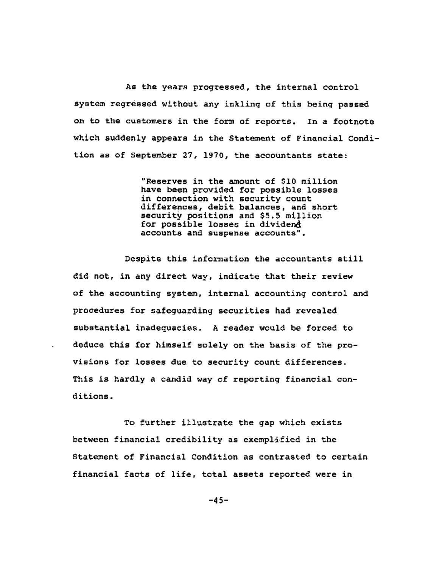As the years progressed, the internal control system regressed without any inkling of this being passed on to the customers in the form of reports. In a footnote which suddenly appears in the Statement of Financial Condition as of September 27, 1970, the accountants state:

> "Reserves in the amount of \$10 million have been provided for possible losses in connection with security count differences, debit balances, and short security positions and \$5.5 million for possible losses in dividen $d$ accounts and suspense accounts".

Despite this information the accountants still did not, in any direct way, indicate that their review of the accounting system, internal accounting control and procedures for safeguarding securities had revealed substantial inadequacies. A reader would be forced to deduce this for himself solely on the basis of the provisions for losses due to security count differences. This is hardly a candid way of reporting financial conditions.

**To** further illustrate the gap which exists between financial credibility as exemplified in the Statement of Financial Condition as contrasted to certain financial facts of life, total assets reported were in

**-45-**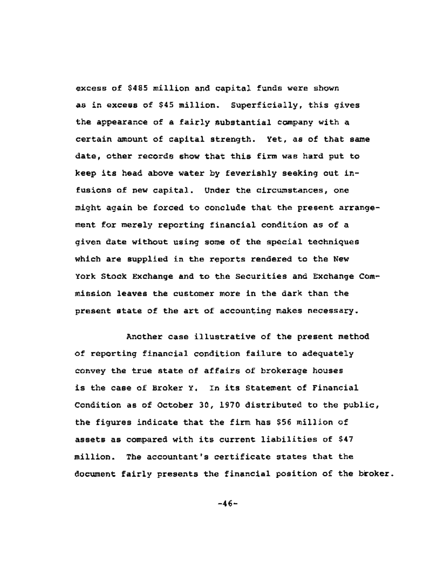excess of \$485 million and capital funds were shown as in excess of \$45 million. Superficially, this gives the appearance of a fairly substantial company with a certain amount of capital strength. Yet, as of that same date, other records show that this firm was hard put to keep its head above water by feverishly seeking out infusions of new capital. Under the circumstances, one might again be forced to conclude that the present arrangement for merely reporting financial condition as of a given date without using some of the special techniques which are supplied in the reports rendered to the New York Stock Exchange and to the Securities and Exchange Commission leaves the customer more in the dark than the present state of the art of accounting makes necessary.

Another case illustrative of the present method of reporting financial condition failure to adequately convey the true state of affairs of brokerage houses is the case of Broker Y. In its Statement of Financial Condition as of October 30, 1970 distributed to the public, the figures indicate that the firm has \$56 million of assets as compared with its current liabilities of \$47 million. The accountant's certificate states that the document fairly presents the financial position of the broker.

**-46-**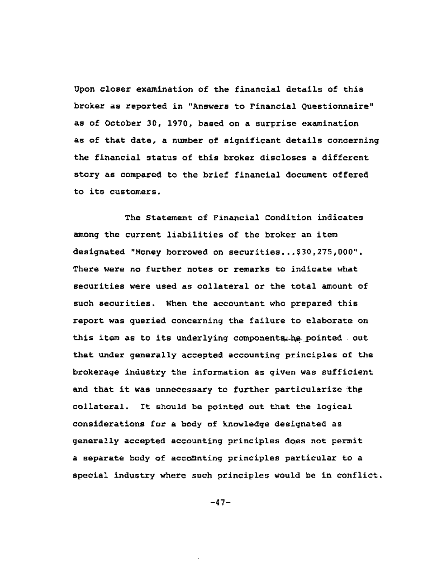Upon closer examination of the financial details of this broker as reported in "Answers to Financial Questionnaire" as of October 30, 1970, based on a surprise examination as of that date, a number of significant details concerning the financial status of this broker discloses a different story as compared to the brief financial document offered to its customers.

The Statement of Financial Condition indicates among the current liabilities of the broker an item designated "Money borrowed on securities...\$30,275,000". There were no further notes or remarks to indicate what securities were used as collateral or the total amount of such securities. When the accountant who prepared this report was queried concerning the failure to elaborate on this item as to its underlying components he pointed out that under generally accepted accounting principles of the brokerage industry the information as given was sufficient and that it was unnecessary to further particularize the collateral. It should be pointed out that the logical considerations for a body of knowledge designated as generally accepted accounting principles does not permit a separate body of accounting principles particular to a special industry where such principles would be in conflict.

-47-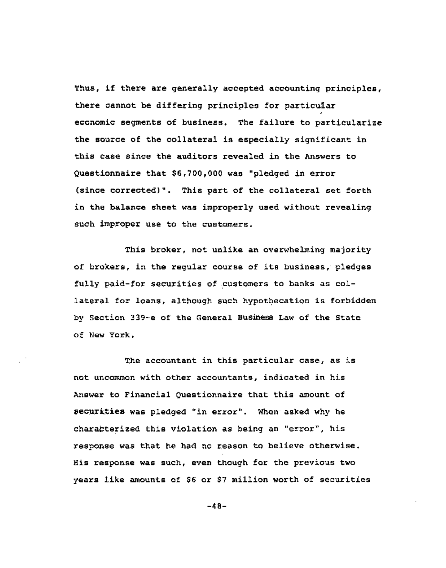Thus, if there are generally accepted accounting principles, there cannot be differing principles for particular economic segments of business. The failure to particularize the source of the collateral is especially significant in this case since the auditors revealed in the Answers to Questionnaire that \$6,700,000 was "pledged in error (since corrected)". This part of the collateral set forth in the balance sheet was improperly used without revealing such improper use to the customers.

This broker, not unlike an overwhelming majority of brokers, in the regular course of its business, pledges fully paid-for securities of customers to banks as collateral for loans, although such hypothecation is forbidden by Section 339-e of the General Business Law of the State of New York.

The accountant in this particular case, as is not uncommon with other accountants, indicated in his Answer to Financial Questionnaire that hhis amount of securities was pledged "in error". When asked why he characterized this violation as being an "error", his response was that he had no reason to believe otherwise. His response was such, even though for the previous two years like amounts of \$6 or \$7 million worth of securities

-48-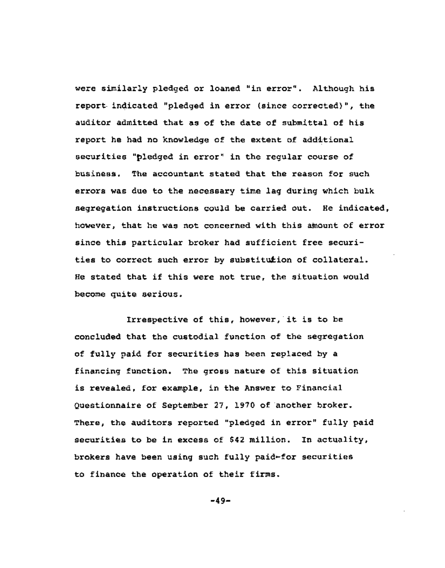were similarly pledged or loaned "in error". Although his report indicated "pledged in error (since corrected)", the auditor admitted that as of the date of submittal of his report he had no knowledge of the extent of additional securities "pledged in error" in the regular course of business. The accountant stated that the reason for such errors was due to the necessary time lag during which bulk segregation instructions could be carried out. He indicated, however, that he was not concerned with this amount of error since this particular broker had sufficient free securities to correct such error by substitution of collateral. He stated that if this were not true, the situation would become quite serious.

Irrespective of this, however, it is to be concluded that the custodial function of the segregation of fully paid for securities has been replaced by a financing function. The gross nature of this situation is revealed, for example, in the Answer to Financial Questionnaire of September 27, 1970 of another broker. There, the auditors reported "pledged in error" fully paid securities to be in excess of \$42 million. In actuality, brokers have been using such fully paid-for securities to finance the operation of their firms.

**-49-**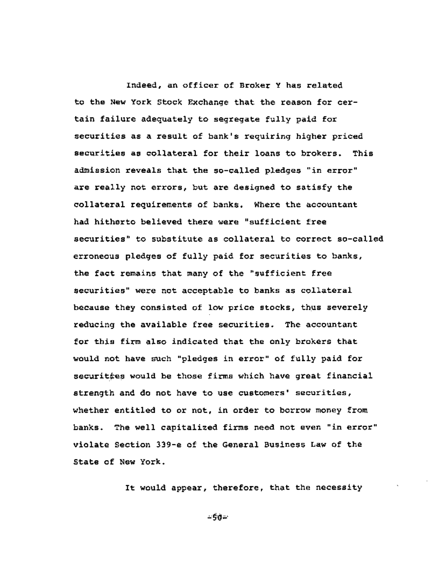Indeed, an officer of Broker Y has related to the New York Stock Exchange that the reason for certain failure adequately to segregate fully paid for securities as a result of bank's requiring higher priced securities as collateral for their loans to brokers. This admission reveals that the so-called pledges "in error" are really not errors, but are designed to satisfy the collateral requirements of banks. Where the accountant had hitherto believed there were "sufficient free securities" to substitute as collateral to correct so-called erroneous pledges of fully paid for securities to banks, the fact remains that many of the "sufficient free securities" were not acceptable to banks as collateral because they consisted of low price stocks, thus severely reducing the available free securities. The accountant for this firm also indicated that the only brokers that would not have such "pledges in error" of fully paid for securitées would be those firms which have great financial strength and do not have to use customers' securities, whether entitled to or not, in order to borrow money from banks. The well capitalized firms need not even "in error" violate Section 339-e of the General Business Law of the State of New York.

It would appear, therefore, that the necessity

 $-50 -$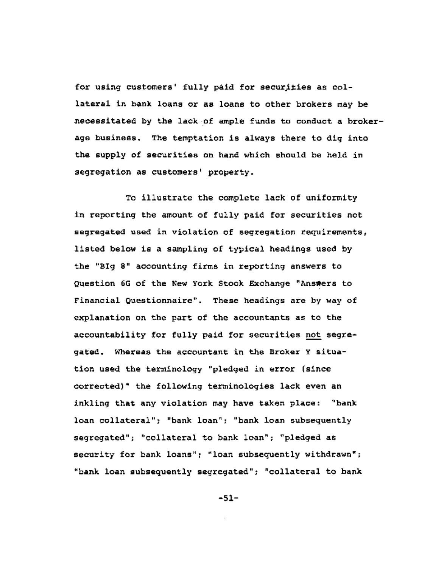for using customers' fully paid for securities as collateral in bank loans or as loans to other brokers may be necessitated by the lack of ample funds to conduct a brokerage business. The temptation is always there to dig into the supply of securities on hand which should be held in segregation as customers' property.

TO illustrate the complete lack of uniformity in reporting the amount of fully paid for securities not segregated used in violation of segregation requirements, listed below is a sampling of typical headings used by the "Big 8" accounting firms in reporting answers to Question 6G of the New York Stock Exchange "Answers to Financial Questionnaire". These headings are by way of explanation on the part of the accountants as to the accountability for fully paid for securities not segregated. Whereas the accountant in the Broker Y situation used the terminology "pledged in error (since corrected)" the following terminologies lack even an inkling that any violation may have taken place: "bank loan collateral"; "bank loan"; "bank loan subsequently segregated"; "collateral to bank loan"; "pledged as security for bank loans"; "loan subsequently withdrawn"; "bank loan subsequently segregated"; "collateral to bank

**-51-**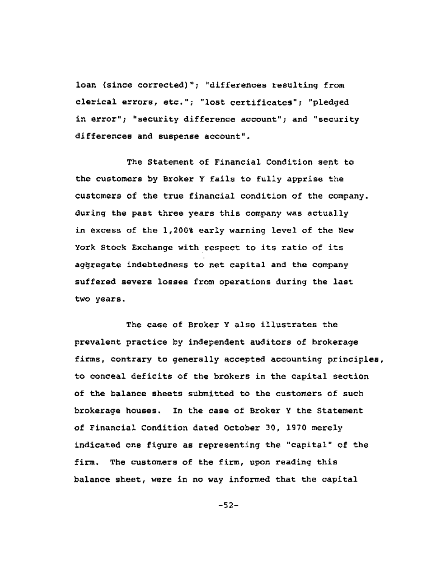loan (since corrected)"; "differences resulting from clerical errors, etc."; "lost certificates"; "pledged in error"; "security difference account"; and "security differences and suspense account".

The Statement of Financial Condition sent to the customers by Broker Y fails to fully apprise the customers of the true financial condition of the company. during the past three years this company was actually in excess of the 1,200% early warning level of the New York Stock Exchange with respect to its ratio of its aggregate indebtedness to net capital and the company suffered severe losses from operations during the last two years.

The case of Broker Y also illustrates the prevalent practice by independent auditors of brokerage firms, contrary to generally accepted accounting principles, to conceal deficits of the brokers in the capital section of the balance sheets submitted to the customers of such brokerage houses. In the case of Broker Y the Statement of Financial Condition dated October 30, 1970 merely indicated one figure as representing the "capital" of the firm. The customers of the firm, upon reading this balance sheet, were in no way informed that the capital

-52-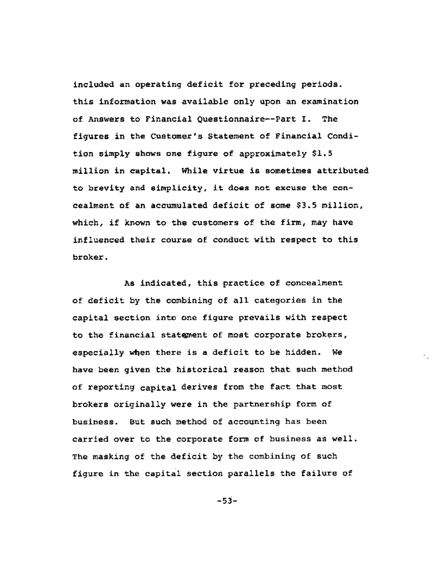included an operating deficit for preceding periods. this information was available only upon an examination of Answers to Financial Questionnaire--Part I. The figures in the Customer's Statement of Financial Condition simply shows one figure of approximately \$1.5 million in capital. While virtue is sometimes attributed to brevity and simplicity, it does not excuse the concealment of an accumulated deficit of some \$3.5 million, which, if known to the customers of the firm, may have influenced their course of conduct with respect to this broker.

As indicated, this practice of concealment of deficit by the combining of all categories in the capital section into one figure prevails with respect to the financial statement of most corporate brokers, especially when there is a deficit to be hidden. We have been given the historical reason that such method of reporting capital derives from the fact that most brokers originally were in the partnership form of business. But such method of accounting has been carried over to the corporate form of business as well. The masking of the deficit by the combining of such figure in the capital section parallels the failure of

**-\$3-**